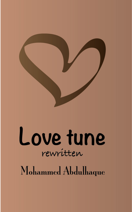

rewritten

Mohammed Abdulhaque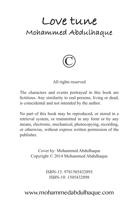## **Love tune Mohammed Abdulhaque**



All rights reserved

The characters and events portrayed in this book are fictitious. Any similarity to real persons, living or dead, is coincidental and not intended by the author.

No part of this book may be reproduced, or stored in a retrieval system, or transmitted in any form or by any means, electronic, mechanical, photocopying, recording, or otherwise, without express written permission of the publisher.

> Cover by: Mohammed Abdulhaque Copyright © 2014 Mohammed Abdulhaque

> > ISBN-13: 9781505432893 ISBN-10: 1505432898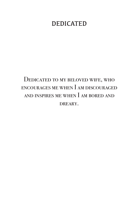## DEDICATED

## Dedicated to my beloved wife, who encourages me when I am discouraged and inspires me when I am bored and DREARY.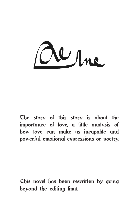Whne

The story of this story is about the importance of love, a little analysis of how love can make us incapable and powerful, emotional expressions or poetry.

This novel has been rewritten by going beyond the editing limit.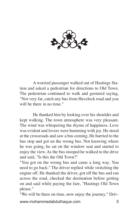

A worried passenger walked out of Hastings Station and asked a pedestrian for directions to Old Town. The pedestrian continued to walk and gestured saying, "Not very far, catch any bus from Havelock road and you will be there in no time."

He thanked him by looking over his shoulder and kept walking. The town atmosphere was very pleasant. The wind was whispering the rhyme of happiness. Love was evident and lovers were humming with joy. He stood at the crossroads and saw a bus coming. He hurried to the bus stop and got on the wrong bus. Not knowing where he was going, he sat on the window seat and started to enjoy the view. As the bus stooped he walked to the drive and said, "Is this the Old Town?"

"You got on the wrong bus and came a long way. You need to go back." The driver replied while switching the engine off. He thanked the driver, got off the bus and ran across the road, checked the destination before getting on and said while paying the fare, "Hastings Old Town please."

www.mohammedabdulhaque.com 5 "We will be there on time, now enjoy the journey." Driv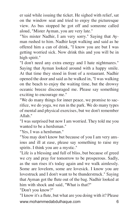er said while issuing the ticket. He sighed with relief, sat on the window seat and tried to enjoy the picturesque view. As bus stopped he got off and someone called aloud, "Mister Ayman, you are very late."

"Yes mister Nadhir, I am very sorry." Saying that Ayman rushed to him. Nadhir kept walking and said as he offered him a can of drink, "I know you are but I was getting worried sick. Now drink this and you will be in high spirit."

"I don't need any extra energy and I hate nightmares." Saying that Ayman looked around with a happy smile. At that time they stood in front of a restaurant. Nadhir opened the door and said as he walked in, "I was walking on the beach to enjoy the waiting time, but the drowsy oceanic breeze discouraged me. Please say something exciting to encourage me."

"We do many things for inner peace, we promise to sacrifice, we do yoga, we run in the park. We do many types of mental and physical exercises, but we don't remember Allah."

"I was surprised but now I am worried. They told me you wanted to be a herdsman."

"Yes, I was a herdsman."

"You may don't know but because of you I am very anxious and ill at ease, please say something to raise my spirits. I think you are a mystic."

"Life is a blessing and full of bliss, but because of greed we cry and pray for tomorrow to be prosperous. Sadly, as the sun rises it's today again and we walk aimlessly. Some are lovelorn, some are lovesick. I know you are lovestruck and I don't want to be thunderstruck." Saying that Ayman got the flute out of the bag. Nadhir looked at him with shock and said, "What is that?"

"Don't you know?"

www.mohammedabdulhaque.com 6 "I know it's a flute, but what are you doing with it? Please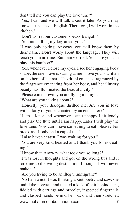don't tell me you can play the love tune?"

"Yes, I can and we will talk about it later. As you may know, I can't speak English. Therefore, I will work in the kitchen."

"Don't worry, our customer speaks Bangali."

"You are pulling my leg, aren't you?"

"I was only joking. Anyway, you will know them by their name. Don't worry about the language. They will teach you in no time. But I am worried. You sure you can play this bamboo?"

"Yes, whenever I close my eyes, I see her engaging body shape, the one I love is staring at me, I love you is written on the hem of her sari. The drunken air is fragranced by the fragrance emanating from her body, and her illusory beauty has illuminated the beautiful city."

"Please come down, you are flying too high."

"What are you talking about?"

"Honestly, your dialogue thrilled me. Are you in love with a fairy or you enchanted by an enchanter?"

"I am a loner and whenever I am unhappy I sit lonely and play the flute until I am happy. Later I will play the love tune. Now can I have something to eat, please? For breakfast, I only had a cup of tea."

"I also haven't eaten. I was waiting for you."

"You are very kind-hearted and I thank you for not eating."

"I know that. Anyway, what took you so long?"

"I was lost in thoughts and got on the wrong bus and it took me to the wrong destination. I thought I will never make it."

"Are you trying to be an illegal immigrant?"

www.mohammedabdulhaque.com 7 "No I am a not. I was thinking about poetry and saw, she undid the ponytail and tucked a lock of hair behind ears, fiddled with earrings and bracelet, inspected fingernails and clasped hands behind her back and then stretched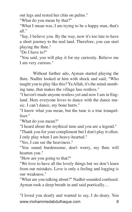out legs and rested her chin on palms."

"What do you mean by that?"

"What I mean was, I am trying to be a happy man, that's all."

"Say, I believe you. By the way, now it's too late to have a short journey to the nod land. Therefore, you can start playing the flute."

"Do I have to?"

"You said, you will play it for my curiosity. Believe me I am very curious."

Without further ado, Ayman started playing the flute. Nadhir looked at him with shock and said, "Who taught you to play like this? Ya Allah, it's the mind-numbing tune, that makes the village lass restless."

"I haven't made anyone restless yet and now I am in England. Here everyone loves to dance with the dance music. I can't dance, my bone hurts."

"I know what you mean, but the tune is a true tranquilliser."

"What do you mean?"

"I heard about the mythical tune and you are a legend." "Thank you for your compliment but I don't play it often.

I only play when I am heavy-hearted."

"Yes, I can see the heaviness."

"You sound burdensome, don't worry, my flute will hearten you."

"How are you going to that?"

"We love to have all the lovely things but we don't learn from our mistakes. Love is only a feeling and logging is our weakness."

"What are you talking about?" Nadhir sounded confused. Ayman took a deep breath in and said poetically…

www.mohammedabdulhaque.com 8 "I loved you dearly and wanted to say, I do deary. You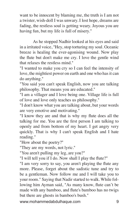want to be innocent by blaming me, the truth is I am not a twister, wish-doll I was unwary. I lost hope, dreams are fading, the restless soul is getting weary. Joyous you are having fun, but my life is full of misery."

As he stopped Nadhir looked at his eyes and said in a irritated voice, "Hey, stop torturing my soul. Oceanic breeze is healing the ever-agonising wound. Now play the flute but don't make me cry. I love the gentle wind that relaxes the restless mind."

"I wanted to make you cry so I can feel the intensity of love, the mightiest power on earth and one who has it can do anything."

"You said you can't speak English, now you are talking philosophy. That means you are educated."

"I am a villager and I love being one. Village life is full of love and love only teaches us philosophy."

"I don't know what you are talking about, but your words are very emotive and motivating."

"I know they are and that is why my flute does all the talking for me. You are the first person I am talking to openly and from bottom of my heart. I get angry very quickly. That is why I can't speak English and I hate reading."

"How about the poetry?"

"They are my words, not lyric."

"You aren't pulling my leg, are you?"

"I will tell you if I do. Now shall I play the flute?"

"I am very sorry to say, you aren't playing the flute any more. Please, forget about the sadistic tune and try to be a gentleman. Now follow me and I will take you to your room." Saying that Nadir started to walk. While following him Ayman said, "As many know, flute can't be made with any bamboo, and flute's bamboo has no twigs but there are ghosts in bamboo's bush."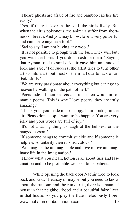"I heard ghosts are afraid of fire and bamboo catches fire easily."

"Yes, if there is love in the soul, the air is lively. But when the air is poisonous, the animals suffer from shortness of breath. And you may know, love is very powerful and can make anyone a fool."

"Sad to say, I am not buying any wool."

"It is not possible to plough with the bull. They will butt you with the horns if you don't castrate them." Saying that Ayman tried to smile. Nadir gave him an annoyed look and said, "For success, the artist tries to turn other artists into a art, but most of them fail due to lack of artistic skills."

"We are very passionate about everything but can't go to heaven by walking on the path of hell."

"Poets hide all their secrets and unspoken words in romantic poems. This is why I love poetry, they are truly amazing."

"Thank you, you made ma so happy, I am floating in the air. Please don't stop, I want to be happier. You are very jolly and your words are full of joy."

"It's not a daring thing to laugh at the helpless or the hanged person."

"If someone hangs to commit suicide and if someone is helpless voluntarily then it is ridiculous."

"We imagine the unimaginable and love to live an imaginary life in the imagination."

"I know what you mean, fiction is all about fuss and fascination and to be profitable we need to be patient."

www.mohammedabdulhaque.com 10 While opening the back door Nadhir tried to look back and said, "Hearsay or maybe but you need to know about the rumour, and the rumour is, there is a haunted house in that neighbourhood and a beautiful fairy lives in that house. As you play the flute melodiously I pre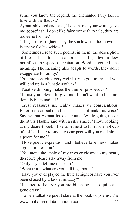sume you know the legend, the enchanted fairy fall in love with the flautist."

Ayman shivered and said, "Look at me, your words gave me gooseflesh. I don't like fairy or the fairy tale, they are too eerie for me."

"The ghost is frightened by the shadow and the snowman is crying for his widow."

"Sometimes I read such poems, in them, the description of life and death is like ambrosia, falling rhythm does not affect the speed of recitation. Word safeguards the meaning. The meaning also adapts to words, they don't exaggerate for amity."

"You are behaving very weird, try to go too far and you will end up in a lunatic asylum."

"Positive thinking makes the thinker prosperous."

"I trust you, please forgive me. I don't want to be emotionally blackmailed."

"Trust reassures us, reality makes us conscientious. Emotions can subdued us but can not make us wise." Saying that Ayman looked around. While going up on the stairs Nadhir said with a silly smile, "I love looking at my dearest poet. I like to sit next to him for a hot cup of coffee. I like to say, my dear poet will you read aloud a poem for me?"

"I love poetic expression and I believe loveliness makes a great impression."

"You aren't the apple of my eyes or closest to my heart, therefore please stay away from me."

"Only if you tell me the truth."

"What truth, what are you talking about?"

"Have you ever played the flute at night or have you ever been chased by a lass at midday?"

"I started to believe you are bitten by a mosquito and gone crazy."

www.mohammedabdulhaque.com 11 "To be a talkative poet I stare at the book of poems. The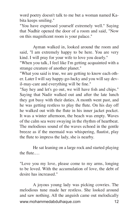word poetry doesn't talk to me but a woman named Kabita keeps smiling."

"You have expressed yourself extremely well." Saying that Nadhir opened the door of a room and said, "Now on this magnificent room is your palace."

Ayman walked in, looked around the room and said, "I am extremely happy to be here. You are very kind. I will pray for your wife to love you dearly."

"When you talk, I feel like I'm getting acquainted with a strange creature of another planet."

"What you said is true, we are getting to know each other. Later I will say happy-go-lucky and you will say devil-may-care and everything will be fine."

"Say hey and let's go out, we will have fish and chips." Saying that Nadir walked out and after the late lunch they got busy with their duties. A month went past, and he was getting restless to play the flute. On his day off he walked out with the flute in his inner jacket pocket. It was a winter afternoon, the beach was empty. Waves of the calm sea were swaying in the rhythm of heartbeat. The melodious sound of the waves echoed in the gentle breeze as if the mermaid was whispering, flautist, play the flute to impress the lady, she is nearby.

He sat leaning on a large rock and started playing the flute.…

"Love you my love, please come to my arms, longing to be loved. With the accumulation of love, the debt of desire has increased."

www.mohammedabdulhaque.com 12 A joyous young lady was picking cowries. The melodious tune made her restless. She looked around and saw nothing. All the anguish came out melodically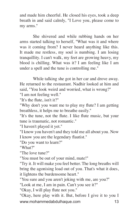and made him cheerful. He closed his eyes, took a deep breath in and said calmly, "I Love you, please come to my arms."

She shivered and while rubbing hands on her arms started talking to herself, "What was it and where was it coming from? I never heard anything like this. It made me restless, my soul is numbing. I am losing tranquillity. I can't walk, my feet are growing heavy, my blood is chilling. What was it? I am feeling like I am under a spell and the tune is controlling me."

While talking she got in her car and drove away. He returned to the restaurant. Nadhir looked at him and said, "You look weird and worried, what is wrong?"

"I am not feeling well."

"It's the flute, isn't it?"

"Why don't you want me to play my flute? I am getting breathless, it helps me to breathe easily."

"It's the tune, not the flute. I like flute music, but your tune is traumatic, not romantic."

"I haven't played it yet."

"I know you haven't and they told me all about you. Now I know you are the legendary flautist."

"Do you want to learn?"

"What?"

"The love tune?"

"You must be out of your mind, mate!"

"Try it. It will make you feel better. The long breaths will bring the agonising load out of you. That's what it does, it lightens the burdensome heart."

"You sure and you aren't joking with me, are you?"

"Look at me, I am in pain. Can't you see it?"

"Okay, I will play flute not you."

www.mohammedabdulhaque.com 13 "Okay, here play with it. But, before I give it to you I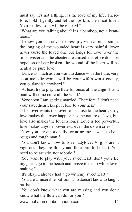must say, it's not a thing, it's the love of my life. Therefore, hold it gently and let the lips kiss the illicit lover. Your restless soul will be relaxed."

"What are you talking about? It's a bamboo, not a beauteous."

"I know you can never express joy with a broad smile, the longing of the wounded heart is very painful, lover never curse the loved one but longs for love, over the time twister and the cheater are cursed, therefore don't be hopeless or heartbroken, the wound of the heart will be healed by pure love."

"Dance as much as you want to dance with the flute, very soon melodic words will be your wife's worst enemy, you outlandish cowherd."

"At least try to play the flute for once, all the anguish and pain will come out with the wind."

"Very soon I am getting married. Therefore, I don't need your sweetheart, keep it close to your heart."

"The lover wants the lover to be close to the heart, surly love makes the lover happier, it's the nature of love, but love also makes the lover a loner. Love is too powerful, love makes anyone powerless, even the clown cries."

"Now you are emotionally torturing me. I want to be a rough and tough man."

"You don't know how to love ladylove. Virgins aren't vigorous, they are flimsy and flutes are full of art. You need to be artistic, not robotic."

"You want to play with your sweetheart, don't you? Be my guest, go to the beach and freeze to death while lovemaking."

"It's okay, I already had a go with my sweetheart."

"You are a miserable buffoon who doesn't know to laugh, ha, ha, ha."

"You don't know what you are missing and you don't know what the flute can do for you."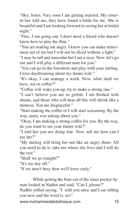"Hey, listen. Very soon I am getting married. My sisterin-law told me, they have found a bride for me. She is beautiful and I am looking forward to seeing her at bridal night."

"Fine, I am going out. I don't need a friend who doesn't know how to play the flute."

"You are making me angry. I know you can make mincemeat out of me but I will not be diced without a fight."

"I may be tall and muscular but I am a sissy. Now, let's go out and I will play a different tune for you."

"You can go to the foreshore and play with your darling. I love daydreaming about my future wife."

"It's okay, I can manage a week. Now, what shall we have, tea or coffee?"

"Coffee will wake you up, try to make a strong one."

"I can't believe you are so girlish. I am flushed with shame, and those who will hear all this will shrink like a mimosa. You are disgraceful."

"Start making the coffee or I will start screaming. By the way, aunty was asking about you."

"Okay, I am making a strong coffee for you. By the way, do you want to see your future wife?"

"I told her you are doing fine. Now, tell me how can I see her?"

"My darling will bring her out like an angry rhino. All you need to do is, take me where she lives and I will do the rest."

"Shall we go tonight?"

"It's my day off."

"If we aren't busy then we'll leave early."

While getting the flute out of the inner pocket Ayman looked at Nadhir and said, "Can I, please?"

Nadhir yelled saying, "I told you once and I am telling you now and the word is, no!"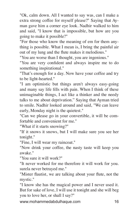"Ok, calm down. All I wanted to say was, can I make a extra strong coffee for myself please?" Saying that Ayman gave him a corner eye look. Nadhir walked to him and said, "I know that is impossible, but how are you going to make it possible?"

"For those who know the meaning of em for them anything is possible. What I mean is, I bring the painful air out of my lung and the flute makes it melodious."

"You are worse than I thought, you are ingenious."

"You are very confident and always inspire me to do something inspirational."

"That's enough for a day. Now have your coffee and try to be light-hearted."

"I am optimistic but things aren't always easy-going and many say life fills with pain. When I think of these unimaginable things, I act like a thinker and the needy talks to me about deprivation." Saying that Ayman tried to smile. Nadhir looked around and said, "We can leave early, Monday night is the quietest."

"Can we please go in your convertible, it will be comfortable and convenient for me."

"What if it starts snowing?"

"If it snows it snows, but I will make sure you see her tonight."

"Fine, I will wear my raincoat."

"Now drink your coffee, the nasty taste will keep you awake."

"You sure it will work?"

"It never worked for me therefore it will work for you. surela never betrayed me."

"Mister flautist, we are talking about your flute, not the mystic."

"I know she has the magical power and I never used it. But for sake of love, I will use it tonight and she will beg you to love her, or shall I say?"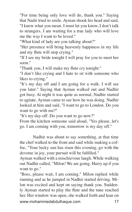"For time being only love will do, thank you." Saying that Nadir tried to smile. Ayman shook his head and said, "I know what you mean. I must let you know, I don't talk to strangers. I am waiting for a true lady who will love me the way I want to be loved."

"What kind of lady are you talking about?"

"Her presence will bring heavenly happiness in my life and my flute will stop crying."

"If I see my bride tonight I will pray for you to meet her soon."

"Thank you, I will make my flute cry tonight."

"I don't like crying and I hate to sit with someone who likes to crying."

"It's my day off and I am going for a walk. I will see you later." Saying that Ayman walked out and Nadhir got busy. At night it was quite as normal, Nadhir started to agitate. Ayman came to see how he was doing. Nadhir looked at him and said, "I want to go to London. Do you want to go with me?"

"It's my day-off. Do you want to go now?"

From the kitchen someone said aloud, "Yes please, let's go. I am coming with you, tomorrow is my day off."

Nadhir was about to say something, at that time the chef walked to the front and said while making a coffee, "Your lucky sun has risen this evening, go with the devotee in joy, your pursuit will be fulfilled."

Ayman walked with a mischievous laugh. While walking out Nadhir called, "Milon! We are going. Hurry up if you want to go."

www.mohammedabdulhaque.com 17 "Boss, please wait, I am coming." Milon replied while running and as he jumped in Nadhir started driving. Milon was excited and kept on saying thank you. Suddenly Ayman started to play the flute and the tune reached her. Her window was open, she walked forth and lean on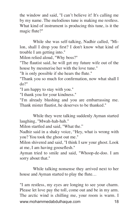the window and said, "I can't believe it! It's calling me by my name. The melodious tune is making me restless. What kind of instrument is producing this tune, is it the magic flute?"

While she was self-talking, Nadhir called, "Milon, shall I drop you first? I don't know what kind of trouble I am getting into."

Milon relied aloud, "Why boss?"

"The flautist said, he will get my future wife out of the house by mesmerise her with the love tune."

"It is only possible if she hears the flute."

"Thank you so much for confirmation, now what shall I do?"

"I am happy to stay with you."

"I thank you for your kindness."

"I'm already blushing and you are embarrassing me. Thank mister flautist, he deserves to be thanked."

While they were talking suddenly Ayman started laughing, "Mwah-hah-hah."

Milon startled and said, "What the."

Nadhir said in a shaky voice, "Hey, what is wrong with you? You took the ghost out me."

Milon shivered and said, "I think I saw your ghost. Look at me, I am having gooseflesh."

Ayman tried to smile and said, "Whoop-de-doo. I am sorry about that."

While talking nonsense they arrived next to her house and Ayman started to play the flute…

www.mohammedabdulhaque.com 18 "I am restless, my eyes are longing to see your charm. Please let love pay the toll, come out and be in my arm. The arctic wind is chilling me, your room is warm. I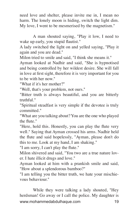need love and shelter, please invite me in, I mean no harm. The lonely moon is hiding, switch the light dim. My love, I went to be mesmerised by the magnetism."

A man shouted saying, "Play it low, I need to wake up early, you stupid flautist."

A lady switched the light on and yelled saying, "Play it again and you are dead."

Milon tried to smile and said, "I think she means it."

Ayman looked at Nadhir and said, "She is hypnotised and being controlled by her wildest desire. She will fall in love at first sight, therefore it is very important for you to be with her now."

"What if it's her mother?"

"Well, that's your problem, not ours."

"Bitter truth is always beautiful, and you are bitterly truthful."

"Spiritual steadfast is very simple if the devotee is truly committed."

"What are you talking about? You are the one who played the flute."

"Here, hold this. Honestly, you can play the flute very well." Saying that Ayman crossed his arms. Nadhir held the flute and said hopelessly, "Ayman, please don't do this to me. Look at my hand, I am shaking."

"I am sorry, I can't play the flute."

Milon shivered and said, "You two are a true nature lover. I hate illicit drugs and love."

Ayman looked at him with a prankish smile and said, "How about a splendorous bamboo?"

"I am telling you the bitter truth, we hate your mischievous behaviour."

www.mohammedabdulhaque.com 19 While they were talking a lady shouted, "Hey herdsman! Go away or I call the police. My daughter is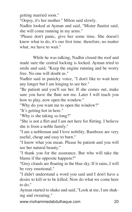getting married soon."

"Oopsy, it's her mother." Milon said slowly.

Nadhir looked at Ayman and said, "Mister flautist said, she will come running in my arms."

'Please don't panic, give her some time. She doesn't know what to do, it's our first time. therefore, no matter what, we have to wait."

While he was talking, Nadhir closed the roof and made sure the central locking is locked. Ayman tried to smile and said, "Keep the engine running and be worry free. No one will doubt us."

Nadhir said in panicky voice, "I don't like to wait here any longer but I am longing to see her."

"Be patient and you'll see her. If she comes out, make sure you have the flute not me. Later I will teach you how to play, now open the window."

"Why do you want me to open the window?"

"It's getting hot in here."

"Why is she taking so long?"

"She is not a flirt and I am not here for flirting. I believe she is from a noble family."

"I am a nobleman and I love nobility. Bamboos are very useful, cheap and easy to burn."

"I know what you mean. Please be patient and you will see her natural beauty."

"I thank you for the assurance. But who will take the blame if the opposite happens?"

"Grey clouds are floating in the blue sky. If it rains, I will be very emotional."

"I didn't understand a word you said and I don't have a desire to kill or to be killed. Now do what we come here to do."

Ayman started to shake and said, "Look at me, I am shaking and sweating."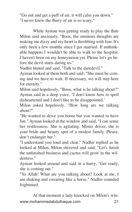"Go out and get a puff of air, it will calm you down." "I never knew the flurry of air is so scary."

While Ayman was getting ready to play the flute Milon said anxiously, "Boos, the ominous thoughts are making me dizzy and my heart is throbbing with fear. It's only been a few months since I got married. If unthinkable happens I wouldn't be able to walk to the hospital. I haven't been on my honeymoon yet. Please let's go before the devil starts daring us."

Nadhir hinted and said, "Talk to the daredevil."

Ayman looked at them both and said, "She must be coming and we have to wait. If necessary, we will stay here for eternity."

Milon said hopelessly, "Boos, what is he talking about?" Ayman said in a deep voice, "I don't know how to spell disheartened and I don't like to be disappointed.'

Milon asked hopelessly, "How long are we talking about?"

"He wanted to drive you home but you wanted to have fun." Ayman looked at the window and said, "I can sense her restlessness. She is agitating. Mister driver, she is your bride and beauty spot of a modest family. Please, don't endanger her."

"I understand you loud and clear." Nadhir replied as he looked at Milon. Milon shivered and said, "Let's finish the unfinished business and cactus will grow in the wilderness."

Ayman looked around and said in a hurry, "Get ready, she is coming out."

"Ya Allah! What are you talking about? Look at me, I am shaking and sweating like a horse." Nadhir sounded frightened.

www.mohammedabdulhaque.com 21 At that moment a lady knocked on Milon's win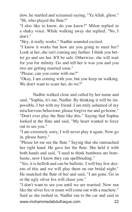dow, he startled and screamed saying, "Ya Allah, ghost." "Hi, who played the flute?"

"I also like to know, do you know?" Milon replied in a shaky voice. While walking away she replied, "No, I don't."

"Hey, it really works." Nadhir sounded excited.

"I know it works but how are you going to meet her? Look at her, she isn't coming any farther. I think you better go and see her. It'll be safe. Otherwise, she will wait for you for infinity. Go and tell her it was you and you two are getting married soon."

"Please, can you come with me?"

"Okay, I am coming with you, but you keep on walking. We don't want to scare her, do we?"

Nadhir walked close and called by her name and said, "Sophia, it's me, Nadhir. By thinking it will be impossible, I bet with my friend. I am truly ashamed of my mischievous behaviour, please forgive me and go home."

"Don't ever play the flute like this." Saying that Sophia looked at the flute and said, "My heart wanted to force out to see you."

"I am extremely sorry, I will never play it again. Now go in, please hurry."

"Please let me see the flute." Saying that she outreached her right hand. He gave her the flute. She held it with both hands and said, "I used to think bamboos are bombastic, now I know they can spellbinding."

"Yes, it is hellish and can be ballistic. I will buy few dozens of this and we will play them on our bridal night." He snatched the flute of her and said, "I am gone. Go in or the ugly silver fox will chase you."

www.mohammedabdulhaque.com 22 "I don't want to see you until we are married. Now run like the silver fox or mum will come out with a machete." Said as she rushed in. Nadhir ran to the car and said in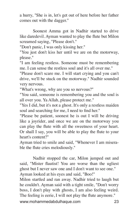a hurry, "She is in, let's get out of here before her father comes out with the dagger."

Soonest Amma got in Nadhir started to drive like daredevil. Ayman wanted to play the flute but Milon screamed saying, "Please don't."

"Don't panic, I was only kissing her."

"You just don't kiss her until we are on the motorway, please."

"I am feeling restless. Someone must be remembering me. I can sense the restless soul and it's all over me."

"Please don't scare me. I will start crying and you can't drive, we'll be stuck on the motorway." Nadhir sounded very nervous.

"What's wrong, why are you so nervous?"

"You said, someone is remembering you and the soul is all over you. Ya Allah, please protect me."

"Yes I did, but it's not a ghost. It's only a restless maiden soul and searching for me, I need to find her."

"Please be patient, soonest he is out I will be driving like a joyrider, and once we are on the motorway you can play the flute with all the sweetness of your heart. Or shall I say, you will be able to play the flute to your heart's content?"

Ayman tried to smile and said, "Whenever I am miserable the flute cries melodiously."

Nadhir stopped the car, Milon jumped out and said, "Mister flautist! You are worse than the ugliest ghost but I never saw one and I don't want to see one." Ayman looked at his eyes and said, "Boo!"

www.mohammedabdulhaque.com 23 Milon startled and ran away. Nadhir tried to laugh but he couldn't. Ayman said with a tight smile, "Don't worry boss, I don't play with ghosts, I am also feeling weird. The feeling is eerie, I will not play the flute anymore."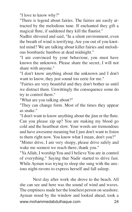"I love to know why?"

"There is legend about fairies. The fairies are easily attracted by the melodious tune. If enchanted they gift a magical flute, if saddened they kill the flautist."

Nadhir shivered and said, "In a silent environment, even the breath of wind is terrifying. Are you out of you knotted mind? We are talking about killer fairies and melodious bombastic bamboo at dead midnight."

"I am convinced by your behaviour, you must have known the unknown. Please share the secret, I will not share with anyone."

"I don't know anything about the unknown and I don't want to know, they just sound too eerie for me."

"Fairies are very beautiful and they don't bother us until we distract them. Unwittingly the consequence some do try to control them."

"What are you talking about?"

"They can change form. Most of the times they appear as snake."

"I don't want to know anything about the jinn or the flute. Can you please zip up? You are making my blood go cold and the heartbeat slow. Your words are tremendous and have awesome meaning but I just don't want to listen to them right now. You know what I mean, don't you?"

"Mister drive, I am very sleepy, please drive safely and wake me soonest we reach there, thank you."

"Ya Allah, I worship You and I believe You are in control of everything." Saying that Nadir started to drive fast. While Ayman was trying to sleep she sung with the anxious night-ravens to express herself and fall asleep.

www.mohammedabdulhaque.com 24 Next day after work she drove to the beach. All she can see and here was the sound of wind and waves. The emptiness made her the loneliest person on seashore. Ayman stood by the window and looked ahead, took a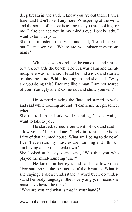deep breath in and said, "I know you are out there. I am a loner and I don't like it anymore. Whispering of the wind and the sound of the sea is telling me, you are looking for me. I also can see you in my mind's eye. Lonely lady, I want to be with you."

She tried to listen to the wind and said, "I can hear you but I can't see you. Where are you mister mysterious man?"

While she was searching, he came out and started to walk towards the beach. The Sea was calm and the atmosphere was romantic. He sat behind a rock and started to play the flute. While looking around she said, "Why are you doing this? Face me like a man. I am not scared of you. You ugly alien! Come out and show yourself."

He stopped playing the flute and started to walk and said while looking around, "I can sense her presence, where is she?"

She ran to him and said while panting, "Please wait, I want to talk to you."

He startled, turned around with shock and said in a low voice, "I am undone! Surely in front of me is the fairy of that haunted house. What am I going to do now? I can't even run, my muscles are numbing and I think I am having a nervous breakdown."

She looked at his eyes and said, "Was that you who played the mind-numbing tune?"

He looked at her eyes and said in a low voice, "For sure she is the beauteous of the beauties. What is she saying? I didn't understand a word but I do understand her body language. She is very angry, it means she must have heard the tune."

"Who are you and what is that in your hand?"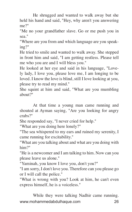He shrugged and wanted to walk away but she held his hand and said, "Hey, why aren't you answering me?"

"Me no your grandfather slave. Go or me push you in sea."

"Where are you from and which language are you speaking?"

He tried to smile and wanted to walk away. She stepped in front him and said, "I am getting restless. Please tell me who you are and I will bless you."

He looked at her eye and said in his language, "Lovely lady, I love you, please love me, I am longing to be loved. I know the love is blind, still I love looking at you, please try to read my mind."

She squint at him and said, "What are you mumbling about?"

At that time a young man came running and shouted at Ayman saying, "Are you looking for angry crabs?"

She responded say, "I never cried for help."

"What are you doing here lonely?"

"The sea whispered to my ears and ruined my serenity, I came running for excitability."

"What are you talking about and what are you doing with him?"

"He is a newcomer and I am talking to him. Now can you please leave us alone."

"Yaminah, you know I love you, don't you?"

"I am sorry, I don't love you. Therefore can you please go or I will call the police."

"What is wrong with you? Look at him, he can't even express himself, he is a voiceless."

www.mohammedabdulhaque.com 26 While they were talking Nadhir came running.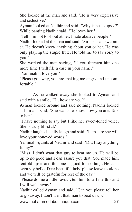She looked at the man and said, "He is very expressive and seductive."

Ayman looked at Nadhir and said, "Why is he so upset?" While panting Nadhir said, "He loves her."

"Tell him not to shout at her. I hate abusive people."

Nadhir looked at the man and said, "Sir, he is a newcomer. He doesn't know anything about you or her. He was only playing the stupid flute. He told me to say sorry to you."

She worked the man saying, "If you threaten him one more time I will file a case in your name."

"Yaminah, I love you."

"Please go away, you are making me angry and uncomfortable."

As he walked away she looked to Ayman and said with a smile, "Hi, how are you?"

Ayman looked around and said nothing. Nadhir looked at him and said, "She wants to know how you are. Talk to her."

"I have nothing to say but I like her sweet-toned voice. She is truly blissful."

Nadhir laughed a silly laugh and said, "I am sure she will love your honeyed words."

Yaminah squints at Nadhir and said, "Did I say anything funny?"

"Miss, I don't want that guy to beat me up. He will be up to no good and I can assure you that. You made him tenfold upset and this one is good for nothing. He can't even say hello. Dear beautiful lady, please leave us alone and we will be grateful for rest of the day."

"Please do me a little favour, tell him to tell me this and I will walk away."

Nadhir called Ayman and said, "Can you please tell her to go away, I don't want that man to beat us up."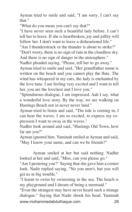Ayman tried to smile and said, "I am sorry, I can't say that."

"What do you mean you can't say that?"

"I have never seen such a beautiful lady before. I can't tell her to leave. If she is heartbroken, joy and jollity will follow her. I don't want to leave a disheartened life."

"Am I thunderstruck or the thunder is about to strike?" "Don't worry, there is no sign of rain in the cloudless sky.

And there is no sign of danger in the atmosphere."

Nadhir pleaded saying, "Please, tell her to go away."

Ayman tried to smile and said, "Her grandfather name is written on the beach and you cannot play the flute. The wind has whispered in my ears, the lady is enchanted by the love tune. I am feeling very excited and I want to tell her, you are the loveliest and I love you."

"Splendorous dialogue, I am impressed. Aah I say, what a wonderful love story. By the way, we are walking on Hastings Beach not in never never land."

Ayman tried to listen and said, "The tide is coming in, I can hear the waves. I am so excited, to express my expression I want to sway in the waves."

Nadhir look around and said, "Hastings Old Town, how far are you?"

Ayman ignored him. Yaminah smiled at Ayman and said, "May I know your name, and can we be friends?"

Ayman smiled at her but said nothing. Nadhir looked at her and said, "Miss, can you please go."

"Am I pestering you?" Saying that she gave him a corner look. Nadir replied saying, "No you aren't, but you will get us in big trouble."

"I learnt to swim by swimming in the sea. The beach is my playground and I dream of being a mermaid."

www.mohammedabdulhaque.com 28 "Even the strangest may have never heard such a strange dialogue." Saying that Nadir shook his head. Yaminah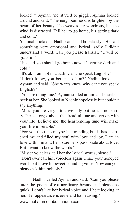looked at Ayman and started to giggle. Ayman looked around and said, "The neighbourhood is brighten by the beam of her beauty. The weaves are wondrous, but the wind is distracted. Tell her to go home, it's getting dark and cold."

Yaminah looked at Nadhir and said hopelessly, "He said something very emotional and lyrical, sadly I didn't understand a word. Can you please translate? I will be grateful."

"He said you should go home now, it's getting dark and cold."

"It's ok, I am not in a rush. Can't he speak English?"

"I don't know, you better ask him?" Nadhir looked at Ayman and said, "She wants know why can't you speak English?"

"You are doing fine." Ayman smiled at him and sneaks a peek at her. She looked at Nadhir hopelessly but couldn't say anything.

"Miss, you are very attractive lady but he is a nonentity. Please forget about the dreadful tune and get on with your life. Believe me, the heartrending tune will make your life miserable."

"For you the tune maybe heartrending but it has heartened me and filled my soul with love and joy. I am in love with him and I am sure he is passionate about love. But I want to know the words."

"Mister voiceless, tell her the lyrical words, please."

"Don't ever call him voiceless again. I hate your honeyed words but I love his sweet-sounding voice. Now can you please ask him politely."

Nadhir called Ayman and said, "Can you please utter the poem of extraordinary beauty and please be quick. I don't like her lyrical voice and I heat looking at her. Her appearance is eerie and hair-raising."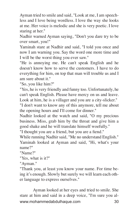Ayman tried to smile and said, "Look at me, I am speechless and I love being wordless. I love the way she looks at me. Her voice is melodic and she is very poetic. I love staring at her."

Nadhir warned Ayman saying, "Don't you dare try to be over smart, you!"

Yaminah stare at Nadhir and said, "I told you once and now I am warning you. Say the word one more time and I will be the worst thing you ever saw."

"He is annoying me. He can't speak English and he doesn't know how to serve the customers. I have to do everything for him, on top that man will trouble us and I am sure about it."

"So, you like him?"

"Yes, he is very friendly and funny too. Unfortunately, he can't speak English. Please have mercy on us and leave. Look at him, he is a villager and you are a city-slicker."

"I don't want to know any of this anymore, tell me about the opening hours and I'll come for dinner."

Nadhir looked at the watch and said, "O my precious business. Miss, grab him by the throat and give him a good shake and he will translate himself woefully."

"I thought you are a friend, but you are a fiend."

While running Nadhir said, "Me no understand English."

Yaminah looked at Ayman and said, "Hi, what's your name?"

"Name?"

"Yes, what is it?"

"Ayman."

"Thank you, at least you know your name. For time being it's enough. Slowly but surely we will learn each other language to express ourselves."

www.mohammedabdulhaque.com 30 Ayman looked at her eyes and tried to smile. She stare at him and said in a deep voice, "I'm sure you al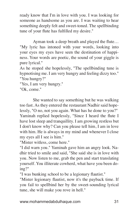ready know that I'm in love with you. I was looking for someone as handsome as you are. I was waiting to hear something deeply felt and sweet-toned. The spellbinding tune of your flute has fulfilled my desire."

Ayman took a deep breath and played the flute… "My lyric has intoned with your words, looking into your eyes my eyes have seen the destination of happiness. Your words are poetic, the sound of your giggle is pure lyrical."

As he stoped she hopelessly, "The spellbinding tune is hypnotising me. I am very hungry and feeling dizzy too." "You hungry?"

"Yes, I am very hungry."

"Ok, come."

She wanted to say something but he was walking too fast. As they entered the restaurant Nadhir said hopelessly, "O no, not you again. What has he done to you?" Yaminah replied hopelessly, "Since I heard the flute I have lost sleep and tranquillity. I am growing restless but I don't know why? Can you please tell him, I am in love with him. He is always in my mind and whenever I close my eyes all I see is him."

"Mister witless, come here."

"I did warn you." Yaminah gave him an angry look. Nadhir tried to smile and said, "She said she is in love with you. Now listen to me, grab the pen and start translating yourself. You illiterate cowherd, what have you been doing?"

"I was bunking school to be a legionary flautist."

"Mister legionary flautist, now it's the payback time. If you fail to spellbind her by the sweet-sounding lyrical tune, she will make you rove in hell."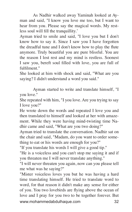As Nadhir walked away Yaminah looked at Ayman and said, "I know you love me too, but I want to hear from you. Please say the magical words. My restless soul will fill the tranquillity.'

Ayman tried to smile and said, "I love you but I don't know how to say it. Since I saw you I have forgotten the dreadful tune and I don't know how to play the flute anymore. Truly beautiful you are pure blissful. You are the reason I lost rest and my mind is restless. Soonest I saw you, bereft soul filled with love, you are full of fulfilment<sup>"</sup>

She looked at him with shock and said, "What are you saying? I didn't understand a word you said."

Ayman started to write and translate himself, "I you love."

She repeated with him, "I you love. Are you trying to say I love you?"

He wrote down the words and repeated I love you and then translated to himself and looked at her with amazement. While they were having mind-twisting time Nadhir came and said, "What are you two doing?"

Ayman tried to translate the conversation. Nadhir sat on the chair and said, "Madam, do you want to order something to eat or his words are enough for you?"

"If you translate his words I will give a good tip."

"He is a voiceless and you can't stop me saying it and if you threaten me I will never translate anything."

"I will never threaten you again, now can you please tell me what was he saying?"

www.mohammedabdulhaque.com 32 "Mister voiceless loves you but he was having a hard time translating himself. He tried to translate word to word, for that reason it didn't make any sense for either of you. You two lovebirds are flying above the ocean of love and I pray for you two to be together forever. But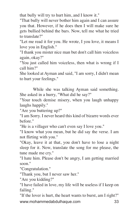that bully will try to hurt him, and I know it."

"That bully will never bother him again and I can assure you that. However, if he does then I will make sure he gets bullied behind the bars. Now, tell me what he tried to translate?"

"Let me read it for you. He wrote, I you love, it means I love you in English."

"I thank you mister nice man but don't call him voiceless again, okay?"

"You just called him voiceless, then what is wrong if I call him?"

She looked at Ayman and said, "I am sorry, I didn't mean to hurt your feelings."

While she was talking Ayman said something. She asked in a hurry, "What did he say?"

"Your touch demise misery, when you laugh unhappy laughs happily."

"Are you buttering up?"

"I am Sorry. I never heard this kind of bizarre words ever before."

"He is a villager who can't even say I love you."

"I know what you mean, but he did say the verse. I am not flirting with you."

"Okay, leave it at that, you don't have to lose a night sleep for it. Now, translate the song for me please, the tune made me cry."

"I hate him. Please don't be angry, I am getting married soon."

"Congratulation."

"Thank you, but I never saw her."

"Are you kidding?"

"I have failed in love, my life will be useless if I keep on failing."

www.mohammedabdulhaque.com 33 "If the lover is hurt, the heart wants to burst, am I right?"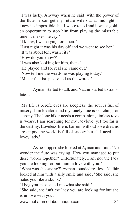"I was lucky. Anyway when he said, with the power of the flute he can get my future wife out at midnight. I knew it's impossible, but I was excited and it was a golden opportunity to stop him from playing the miserable tune, it makes me cry."

"I know, I was crying too, then."

"Last night it was his day off and we went to see her." "It was about ten, wasn't it?"

"How do you know?"

"I was also looking for him, then?"

"He played and for real she came out."

"Now tell me the words he was playing today."

"Mister flautist, please tell us the words."

Ayman started to talk and Nadhir started to translate…

"My life is bereft, eyes are sleepless, the soul is full of misery, I am lovelorn and my lonely tune is searching for a crony. The lone hiker needs a companion, aimless rove is weary, I am searching for my ladylove, yet too far is the destiny. Loveless life is barren, without love dreams are empty, the world is full of snooty but all I need is a lovey lady."

As he stopped she looked at Ayman and said, "No wonder the flute was crying. How you managed to put these words together? Unfortunately, I am not the lady you are looking for but I am in love with you."

"What was she saying?" Ayman sounded restless. Nadhir looked at him with a silly smile and said, "She said, she hates you like a skunk."

"I beg you, please tell me what she said."

"She said, she isn't the lady you are looking for but she is in love with you."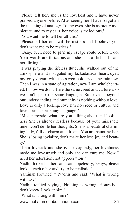"Please tell her, she is the loveliest and I have never praised anyone before. After seeing her I have forgotten the meaning of analogy. To my eyes, she is as pretty as a picture, and to my ears, her voice is melodious."

"You want me to tell her all this?"

"Please tell her or I will be restless and I believe you don't want me to be restless."

"Okay, but I need to plan my escape route before I do. Your words are flirtatious and she isn't a flirt and I am not flirting."

"I was playing the lifeless flute, she walked out of the atmosphere and instigated my lackadaisical heart, dyed my grey dream with the seven colours of the rainbow. Then I was in a state of agitation, now I am wholehearted. I know we don't share the same creed and culture also we don't speak the same language. But love is beyond our understanding and humanity is nothing without love. Love is only a feeling, love has no creed or culture and love doesn't speak any language."

"Mister mystic, what are you talking about and look at her? She is already restless because of your miserable tune. Don't defile her thoughts. She is a beautiful charming lady, full of charm and dream. You are haunting her. She is losing joviality, don't make her lose joy and beauty."

"I am lovesick and she is a lovey lady, her loveliness mede me lovestruck and only she can cure me. Now I need her adoration, not appreciation."

Nadhir looked at them and said hopelessly, "Guys, please look at each other and try to be realistic."

Yaminah frowned at Nadhir and said, "What is wrong with us?"

Nadhir replied saying, 'Nothing is wrong. Honestly I don't know. Look at him."

"What is wrong with him?"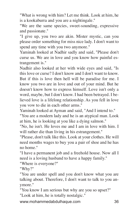"What is wrong with him? Let me think. Look at him, he is a kookaburra and you are a nightingale."

"We are the same species, sweet-sounding, expressive and passionate."

"I give up, you two are akin. Mister mystic, can you please order something for miss nice lady. I don't want to spend any time with you two anymore."

Yaminah looked at Nadhir sadly and said, "Please don't curse us. We are in love and you know how painful estrangement is."

Nadhir also looked at her with wide eyes and said, "Is this love or curse? I don't know and I don't want to know. But if this is love then hell will be paradise for me. I know you two are in love and out of your mind. But he doesn't know how to express himself. Love isn't only a word, maybe, but I don't know. I had been betrayed. I believed love is a lifelong relationship. As you fell in love you vow to die in each other arms."

Yaminah looked at Ayman and said, "And I intend to."

"You are a modern lady and he is an atypical man. Look at him, he is looking at you like a dying salmon."

"No, he isn't. He loves me and I am in love with him. I will rather die than living in his estrangement."

"Please, don't talk like this. Look at your clothes. He will need months wages to buy you a pair of shoe and he has no home."

"I have a permanent job and a freehold house. Now all I need is a loving husband to have a happy family."

"Where is everyone?"

"Why?"

"You are under spell and you don't know what you are talking about. Therefore, I don't want to talk to you anymore."

"You know I am serious but why are you so upset?" "Look at him, he is totally nostalgic."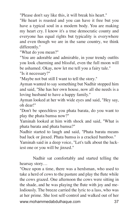"Please don't say like this, it will break his heart."

"He heart is roasted and you can have it free but you have a typical soul in a modern body. You are making my heart cry. I know it's a true democratic county and everyone has equal rights but typicality is everywhere and even though we are in the same country, we think differently."

"What do you mean?"

"You are adorable and admirable, in your trendy outfits you look charming and blissful, even the full moon will be ashamed. Okay, now let me tell you a fairy tale."

"Is it necessary?"

"Maybe not but still I want to tell the story."

Ayman wanted to say something but Nadhir stopped him and said, "She has her own house, now all she needs is a loving husband to have a happy family."

Ayman looked at her with wide eyes and said, "Hey say, oh dear!"

"Don't be speechless you phata barata, do you want to play the phata bamsa now?"

Yaminah looked at him with shock and said, "What is phata barata and phata bamsa?"

Nadhir started to laugh and said, "Phata barata means bad luck or jinxed. Phata bamsa is a cracked bamboo."

Yaminah said in a deep voice, "Let's talk about the luckiest one or you will be jinxed."

Nadhir sat comfortably and started telling the hearsay story…

www.mohammedabdulhaque.com 37 "Once upon a time, there was a herdsman, who used to take a herd of cows to the pasture and play the flute while the cows grazed. One afternoon the cows were sitting in the shade, and he was playing the flute with joy and melodiously. The breeze carried the lyric to a lass, who was at her prime. She lost self-control and walked out of her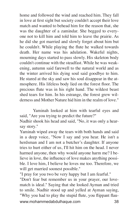home and followed the wind and reached him. They fall in love at first sight but society couldn't accept their love match and wanted to behead him for the reason that, she was the daughter of a zamindar. She begged to everyone not to kill him and told him to leave the prairie. As he did she got married and slowly forget about him but he couldn't. While playing the flute he walked towards death. Her name was his adulation. Wakeful nights, mourning days started to pass slowly. His skeleton body couldn't continue with the steadfast. While he was weakening, autumn said farewell to the natural world and as the winter arrived his dying soul said goodbye to him. He stared at the sky and saw his soul disappear in the atmosphere. His lifeless body lied on the forest floor. The precious flute was in his right hand. The wildest beast shed tears for him. In his estrange, the forest grew wilderness and Mother Nature hid him in the realm of love."

Yaminah looked at him with tearful eyes and said, "Are you trying to predict the future?"

Nadhir shook his head and said, "No, it was only a hearsay story."

Yaminah wiped away the tears with both hands and said in a deep voice, "Now I say and you hear. He isn't a herdsman and I am not a butcher's daughter. If anyone tries to hurt either of us, I'll hit him on the head. I never harmed anyone, then why would anyone harm me? I believe in love, the influence of love makes anything possible. I love him, I believe he loves me too. Therefore, we will get married soonest possible."

"I pray for you two be very happy but I am fearful."

www.mohammedabdulhaque.com 38 "Don't fear but remember us in your prayer, our lovematch is ideal." Saying that she looked Ayman and tried to smile. Nadhir stood up and yelled at Ayman saying, "Why you had to play the stupid flute, you flippant flau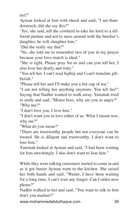tist?"

Ayman looked at him with shock and said, "I am thunderstruck, did she say this?"

'Yes, she said, tell the cowherd to take his herd to a different pasture and not to mess around with the butcher's daughter, he will slaughter him."

'Did she really say that?"

"No, she told me to remember two of you in my prayer because your love-match is ideal."

"She is right. Please pray for us and can you tell her, I also love her dearly and truly."

"You tell her. I can't read hijibiji and I can't translate gibberish."

"Please tell her and I'll make you a hot cup of tea."

"I am not telling her anything anymore. You tell her!" Saying that Nadhir wanted to walk away. Yaminah tried to smile and said, "Mister boss, why are you so angry?" "Why me?"

"I don't love you, I love him."

"I don't want you to love either of us. What I meant was, why me?"

"What do you mean?"

"There are trustworthy people but not everyone can be trusted. He is diligent and trustworthy, I don't want to lose him."

Yaminah looked at Ayman and said, "I had been waiting for him unwittingly. I also don't want to lose him."

While they were talking customers started to come in and as it got busier Ayman went to the kitchen. She raised her both hands and said, "Waiter, I have been waiting for a long time, I can't wait any longer. Can I order now please?"

Nadhir walked to her and said, "You want to talk to him don't you madam?"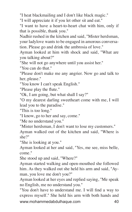"I heat blackmailing and I don't like black magic."

"I will appreciate it if you let other sit and eat."

"I want to have a heart-to-heart chat with him, only if that is possible, thank you."

Nadhir rushed in the kitchen and said, "Mister herdsman, your ladylove wants to be engaged in amorous conversation. Please go and drink the ambrosia of love."

Ayman looked at him with shock and said, "What are you talking about?"

"She will not go anywhere until you assist her."

"You can do that."

"Please don't make me any angrier. Now go and talk to her, please."

"You know I can't speak English."

"Please play the flute."

"Ok, I am going, but what shall I say?"

"O my dearest darling sweetheart come with me, I will lead you to the paradise."

"This is too long."

"I know, go to her and say, come."

"Me no understand you."

"Mister herdsman, I don't want to lose my customers."

Ayman walked out of the kitchen and said, "Where is she?"

"She is looking at you."

Ayman looked at her and said, "Yes, me see, miss belle, come."

She stood up and said, "Where?"

Ayman started walking and open-mouthed she followed him. As they walked out she held his arm and said, "Ayman, you love me don't you?"

Ayman looked at her eyes and replied saying, "Me speak no English, me no understand you."

www.mohammedabdulhaque.com 40 "You don't have to understand me. I will find a way to express myself." She held his arm with both hands and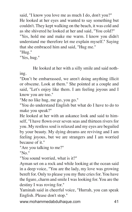said, "I know you love me as much I do, don't you?" He looked at her eyes and wanted to say something but couldn't. They kept walking on the beach, it was cold and as she shivered he looked at her and said, "You cold?" "Yes, hold me and make me warm. I know you didn't

understand me therefore let me explain myself." Saying that she embraced him and said, "Hug me."

"Hug."

"Yes, hug."

He looked at her with a silly smile and said nothing.

"Don't be embarrassed, we aren't doing anything illicit or obscene. Look at them." She pointed at a couple and said, "Let's enjoy like them. I am feeling joyous and I know you are too."

"Me no like hug, me go, you go."

"You do understand English but what do I have to do to make you speak?"

He looked at her with an askance look and said to himself, "I have flown over seven seas and thirteen rivers for you. My restless soul is relaxed and my eyes are beguiled by your beauty. My dying dreams are reviving and I am feeling joyous, but we are strangers and I am worried because of it."

"Are you talking to me?"

"No."

"You sound worried, what is it?"

Ayman set on a rock and while looking at the ocean said in a deep voice, "You are the lady, my love was growing bereft for. Only to please you my flute cries for. You have the figure, charm and smile I was looking for. You are the destiny I was roving for."

Yaminah said in cheerful voice, "Hurrah, you can speak English. Please don't stop."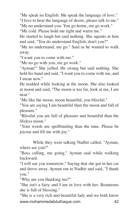"Me speak no English. Me speak the language of love." "I love to hear the language of desire, please talk to me." "Me no understand you. You go home, me go work."

"Me cold. Please hold me tight and warm me."

He started to laugh but said nothing. She squints at him and said, "You do understand English, don't you?"

"Me no understand, me go." Said as he wanted to walk away.

"I want you to come with me."

"Me no go with you, me go work."

"Ayman!" She yelled. He swung but said nothing. She held his hand and said, "I want you to come with me, and I mean now."

He nodded while looking at the moon. She also looked at moon and said, "The moon is too far, look at me, I am near."

"Me like the moon, moon beautiful, you blissful."

"You are saying I am beautiful than the moon and full of pleasure."

"Blissful you are full of pleasure and beautiful than the lifeless moon."

"Your words are spellbinding than the tune. Please be joyous and fill me with joy."

While they were talking Nadhir called, "Ayman, where are you?"

"Boss calling, me going." Ayman said while walking backward.

"I will see you tomorrow." Saying that she got in her car and drove away. Ayman ran to Nadhir and said, "I thank you."

"Why are you thanking me?"

"She isn't a fairy and I am in love with her. Beauteous she is full of blessing."

www.mohammedabdulhaque.com 42 "She is a very rich and beautiful lady and we both know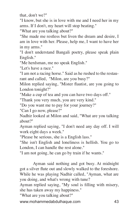that, don't we?"

"I know, but she is in love with me and I need her in my arms. If I don't, my heart will stop beating."

"What are you talking about?"

"She made me restless but liven the dream and desire, I am in love with her. Please, help me, I want to have her in my arms."

"I don't understand Bangali poetry, please speak plain English."

"Me herdsman, me no speak English."

"Let's have a race."

"I am not a racing horse." Said as he rushed to the restaurant and called, "Milon, are you busy?"

Milon replied saying, "Mister flautist, are you going to London tonight?"

"Make a cup of tea and you can have two days off."

"Thank you very much, you are very kind."

"Do you want me to pay for your journey?"

"Can I go now, please?"

Nadhir looked at Milon and said, "What are you talking about?"

Ayman replied saying, "I don't need any day off. I will work eight days a week."

"Please be serious, she is a English lass."

"She isn't English and loneliness is hellish. You go to London, I can handle the rest alone."

"I am not going, he can go by train if he wants."

Ayman said nothing and got busy. At midnight got a silver flute out and slowly walked to the foreshore. While he was playing Nadhir called, "Ayman, what are you doing, and what's wrong with tune?

Ayman replied saying, "My soul is filling with misery, she has taken away my happiness."

"What are you talking about?"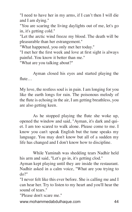"I need to have her in my arms, if I can't then I will die and I am dying."

"You are scaring the living daylights out of me, let's go in, it's getting cold."

"Let the arctic wind freeze my blood. The death will be pleasurable than her estrangement."

"What happened, you only met her today."

"I met her the first week and love at first sight is always painful. You know it better than me."

"What are you talking about?"

Ayman closed his eyes and started playing the flute…

My love, the restless soul is in pain. I am longing for you like the earth longs for rain. The poisonous melody of the flute is echoing in the air, I am getting breathless, you are also getting keen.

As he stopped playing the flute she woke up, opened the window and said, "Ayman, it's dark and quiet. I am too scared to walk alone. Please come to me. I know you can't speak English but the tune speaks my language. You may don't know but all of a sudden my life has changed and I don't know how to discipline.

While Yaminah was shedding tears Nadhir held his arm and said, "Let's go in, it's getting clod."

Ayman kept playing until they are inside the restaurant. Nadhir asked in a calm voice, "What are you trying to do?"

"I never felt like this ever before. She is calling me and I can hear her. Try to listen to my heart and you'll hear the sound of tears."

"Please don't scare me."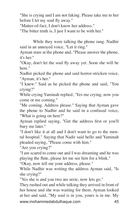"She is crying and I am not faking. Please take me to her before I let my soul fly away."

"Matter-of-fact, I don't know her address."

"The bitter truth is, I just I want to be with her."

While they were talking the phone rang. Nadhir said in an annoyed voice, "Let it ring."

Ayman stare at the phone and, "Please answer the phone, it's her."

"Okay, don't let the soul fly away yet. Soon she will be here."

Nadhir picked the phone and said horror-stricken voice, "Ayman, it's her."

"I knew." Said as he picked the phone and said, "You crying?"

While crying Yaminah replied, 'Yes me crying, now you come or me coming."

"Me coming. Address please." Saying that Ayman gave the phone to Nadhir and he said in a confused voice, "What is going on here?"

Ayman replied saying, "Get the address first or you'll bury me later."

"I don't like it at all and I don't want to go to the mental hospital." Saying that Nadir said hello and Yaminah pleaded saying, "Please come with him."

"Are you crying?"

"I am scared to come out and I was dreaming and he was playing the flute, please let me see him for a blink."

"Okay, now tell me your address, please."

While Nadhir was writing the address Ayman said, "Is she crying?"

"Yes she is and you two are eerie, now lets go."

www.mohammedabdulhaque.com 45 They rushed out and while talking they arrived in front of her house and she was waiting for them. Ayman looked at her and said, "My soul is in you, yours is in me. My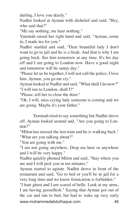darling, I love you dearly."

Nadhir looked at Ayman with disbelief and said, "Hey, who said that?"

"Me say nothing, me hear nothing."

Yaminah raised her right hand and said, "Ayman, come in, I made tea for you."

Nadhir startled and said, "Dear beautiful lady I don't want to go to jail and he is a freak. And that is why I am going back. See him tomorrow at any time. It's his day off and I am going to London now. Have a good night and tomorrow will be sunny day."

"Please let us be together, I will not call the police, I love him. Ayman, you go me cry."

Ayman looked at Nadhir and said, "What shall I do now?" "I will run to London, shall I?"

"Please, tell her to close the door."

"Ok, I will, miss crying lady someone is coming and we are going. Maybe it's your father."

Yaminah tried to say something but Nadhir drove off. Ayman looked around and, "Are you going to London?"

"Milon has missed the last train and he is walking back." "What are you talking about?"

"You are going with me."

"I am not going anywhere. Drop me here or anywhere and I will be very happy."

Nadhir quickly phoned Milon and said, "Stay where you are and I will pick you in ten minutes."

Ayman started to agitate. Nadhir drove in front of the restaurant and said, "Go to bed or you'll be in jail for a very long time and we know fornication is forbidden."

www.mohammedabdulhaque.com 46 "I hate ghost and I am scared of belle. Look at my arms, I am having gooseflesh." Saying that Ayman got out of the car and run to bed, but had to wake up very early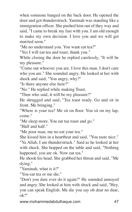when someone banged on the back door. He opened the door and got thunderstruck. Yaminah was standing like a immigration officer. She pushed him out of they way and said, "I came to break my fast with you. I am old enough to make my own decision. I love you and we will get married soon."

"Me no understand you. You want eat tea?"

"Yes I will eat tea and toast, thank you."

While closing the door he replied carelessly, "It will be my pleasure."

"Come out whoever you are. I love this man. I don't care who you are." She sounded angry. He looked at her with shock and said, "You angry, why?"

"Is there anyone else here?"

"No." He replied while making Toast.

"Then who said, it will be my pleasure?"

He shrugged and said, "Tea toast ready. Go and sit in front. Me bringing."

"Where is your tea? Me sit on floor. You sit on my lap, come."

"Me sleep more. You eat tea toast and go."

"Half and half."

"Me poor man, me no eat your tea."

She kissed him in a heartbeat and said, "You taste nice."

"Ya Allah, I am thunderstruck." Said as he looked at her with shock. She hopped on the table and said, "Nothing happened, you are ok. Now eat tea."

He shook his head. She grabbed her throat and said, "Me dying."

"Yaminah, what is it?"

"You eat tea or me die."

"Don't you dare ever do it again?" He sounded annoyed and angry. She looked at him with shock and said, "Hey, you can speak English. Me die you say oh dear no dear, ok?"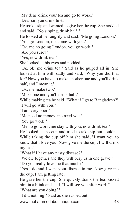"My dear, drink your tea and go to work."

"Dear sir, you drink first."

He took a sip and wanted to give her the cup. She nodded and said, "No sipping, drink half."

He looked at her angrily and said, "Me going London."

"You go London, me come with you."

"Ok, me no going London, you go work."

"Are you sure?"

"Yes, now drink tea."

She looked at his eyes and nodded.

"Ok, ok, me drink tea." Said as he gulped all in. She looked at him with sadly and said, "Why you did that for? Now you have to make another one and you'll drink half, and I mean it."

"Ok, me make two."

"Make one and you'll drink half."

While making tea he said, "What if I go to Bangladesh?"

"I will go with you."

"I am very poor."

"Me need no money, me need you."

"You go work."

"Me no go work, me stay with you, now drink tea."

He looked at the cup and tried to take sip but couldn't. While taking the cup off him she said, "I want you to know that I love you. Now give me the cup, I will drink my tea."

"What if I have any nasty disease?"

"We die together and they will bury us in one grave."

"Do you really love me that much?"

"Yes I do and I want your disease in me. Now give me the cup, I am getting late."

He gave her the cup. She quickly drank the tea, kissed him in a blink and said, "I will see you after work."

"What are you doing?"

"I did nothing." Said as she rushed out.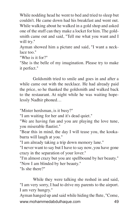While nodding head he went to bed and tried to sleep but couldn't. He came down had his breakfast and went out. While walking about he walked in a gold shop and asked one of the stuff can they make a locket for him. The goldsmith came out and said, "Tell me what you want and I will try."

Ayman showed him a picture and said, "I want a necklace too."

"Who is it for?"

"She is the belle of my imagination. Please try to make it perfect."

Goldsmith tried to smile and goes in and after a while came out with the necklace. He had already paid the price, so he thanked the goldsmith and walked back to the restaurant. At night while he was waiting hopelessly Nadhir phoned…

"Mister herdsman, is it busy?"

"I am waiting for her and it's dead quiet."

"We are having fun and you are playing the love tune, you miserable flautist."

"Bear this in mind, the day I will tease you, the kookaburra will laugh at you."

"I am already taking a trip down memory lane."

"I never want to say but I have to say now, you have gone crazy in the separation of your lover."

"I'm almost crazy but you are spellbound by her beauty." "Now I am blinded by her beauty."

"Is she there?"

While they were talking she rushed in and said, "I am very sorry, I had to drive my parents to the airport. I am very hungry."

www.mohammedabdulhaque.com 49 Ayman hanged up and said while hiding the flute, "Come,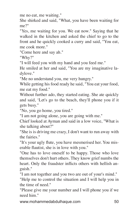me no eat, me waiting."

She shirked and said, "What, you have been waiting for me?"

"Yes, me waiting for you. We eat now." Saying that he walked in the kitchen and asked the chief to go to the front and he quickly cooked a curry and said, "You eat, me cook more."

"Come here and say ah."

"Why?"

"I will feed you with my hand and you feed me."

He smiled at her and said, "You are my imaginative ladylove."

"Me no understand you, me very hungry."

While getting his food ready he said, "You eat your food, me eat my food."

Without further ado, they started eating. She ate quickly and said, 'Let's go to the beach, they'll phone you if it gets busy."

"No, you go home, you tired."

"I am not going alone, you are going with me."

Chief looked at Ayman and said in a low voice, "What is she talking about?"

"She is is driving me crazy, I don't want to run away with the fairies."

"It's your ugly flute, you have mesmerised her. You miserable flautist, she is in love with you."

"One has to love oneself to be happy. Those who love themselves don't hurt others. They know grief numbs the heart. Only the fraudster inflicts others with hellish anguish."

"I am not together and you two are out of your's mind."

"Help me to control the situation and I will help you in the time of need."

"Please give me your number and I will phone you if we need him."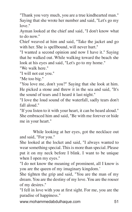"Thank you very much, you are a true kindhearted man." Saying that she wrote her number and said, "Let's go my love."

Ayman looked at the chief and said, "I don't know what to do now."

Chief weaved at him and said, "Take the jacket and go with her. She is spellbound, will never hurt."

"I wanted a second opinion and now I have it." Saying that he walked out. While walking toward the beach she look at his eyes and said, "Let's go to my home."

"We walk here."

"I will not eat you."

"Me too big."

"You love me, don't you?" Saying that she look at him. He picked a stone and threw it in the sea and said, "It's the sound of tears and I heard it last night."

"I love the loud sound of the waterfall, sadly tears don't fall aloud."

"If you listen to it with your heart, it can be heard aloud." She embraced him and said, "Be with me forever or hide me in your heart."

While looking at her eyes, got the necklace out and said, "For you."

She looked at the locket and said, "I always wanted to wear something special. This is more than special. Please put it on my neck before I blink. I want to be unique when I open my eyes."

"I do not know the meaning of prominent, all I know is you are the queen of my imaginary kingdom.'

She tighten the grip and said, "You are the man of my dream. You are the destiny of my love. You are the rouser of my desires."

"I fell in love with you at first sight. For me, you are the paradise of happiness."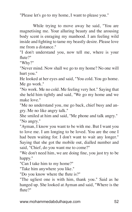"Please let's go to my home, I want to please you."

While trying to move away he said, "You are magnetising me. Your alluring beauty and the arousing body scent is enraging my manhood. I am feeling wild inside and fighting to tame my beastly desire. Please love me from a distance."

"I don't understand you, now tell me, where is your flute?"

"Why?"

"Never mind. Now shall we go to my home? No one will hurt you."

He looked at her eyes and said, "You cold. You go home. Me go work."

"No work. Me no cold. Me feeling very hot." Saying that she held him tightly and said, "We go my home and we make love."

"Me no understand you, me go back, chief busy and angry. Me no like angry talk."

She smiled at him and said, "Me phone and talk angry." "No angry."

"Ayman, I know you want to be with me. But I want you to love me. I am longing to be loved. You are the one I had been waiting for. I don't want to wait any longer." Saying that she got the mobile out, dialled number and said, "Chief, do you want me to come?"

"We don't need him, we are doing fine, you just try to be happy."

"Can I take him to my home?"

"Take him anywhere you like."

"Do you know where the flute is?"

"The ugliest one is with him, thank you." Said as he hanged up. She looked at Ayman and said, "Where is the flute?"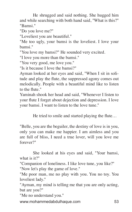He shrugged and said nothing. She hugged him and while searching with both hand said, "What is this?" "Bamsi."

"Do you love me?"

"Loveliest you are beautiful."

"Me too ugly, your bamsi is the loveliest. I love your bamsi."

"You love my bamsi?" He sounded very excited.

"I love you more than the bamsi."

"You very good, me love you."

"Is it because I love the bamsi?"

Ayman looked at her eyes and said, "When I sit in solitude and play the flute, the suppressed agony comes out melodically. People with a beautiful mind like to listen to the flute."

Yaminah shook her head and said, "Whenever I listen to your flute I forget about dejection and depression. I love your bamsi. I want to listen to the love tune."

He tried to smile and started playing the flute…

"Belle, you are the beguiler, the destiny of love is in you, only you can make me happier. I am aimless and you are full of bliss, I need a true lover, will you love me forever?"

She looked at his eyes and said, "Your bamsi, what is it?"

"Companion of loneliness. I like love tune, you like?" "Now let's play the game of love."

"Me poor man, me no play with you. You no toy. You loveliest lady."

"Ayman, my mind is telling me that you are only acting, but are you?"

"Me no understand you."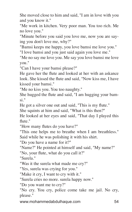She moved close to him and said, "I am in love with you and you know it."

"Me work in kitchen. Very poor man. You too rich. Me no love you."

"Minute before you said you love me, now you are saying you don't love me, why?"

"Bamsi keeps me happy, you love bamsi me love you."

"I love bamsi and you just said again you love me."

"Me no say me love you. Me say you love bamsi me love you."

"Can I have your bamsi please?"

He gave her the flute and looked at her with an askance look. She kissed the flute and said, "Now kiss me, I have kissed your bamsi."

"Me no kiss you. You too naughty."

She hugged the flute and said, "I am hugging your bamsi."

He got a silver one out and said, "This is my flute."

She squints at him and said, "What is this then?"

He looked at her eyes and said, "That day I played this flute."

"How many flutes do you have?"

"This one helps me to breathe when I am breathless." Said while he was polishing it with his shirt.

"Do you have a name for it?"

"Name?" He pointed at himself and said, "My name?"

"No, your flute, what do you call it?"

"Surela."

"Was it the surela what made me cry?"

"Yes, surela was crying for you."

"Make it cry, I want to cry with it."

"Surela cries no more. surela happy now."

"Do you want me to cry?"

"No cry. You cry, police come take me jail. No cry, please."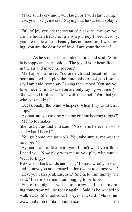"Make surela cry and I will laugh or I will start crying." "Ok, you no cry, me cry." Saying that he started to play…

"Full of joy you are the ocean of pleasure, my love you are the hidden treasure. Life is a journey I need a crony, you are the loveliest, beauty has no measure. I was roving, you are the destiny of love, I am your dreamer."

As he stopped she smiled at him and said, "Surela is happy and harmonious. The joy of your heart floated in the air and made me joyous."

"Me happy no more. You are rich and beautiful. I am poor and awful. I play the flute only to feel good, some say I am rude, some say I swing their mood. You say you love me, my mind says you are only toying with me."

She walked forth and asked with disbelief, "Was that you who was talking?"

"Occasionally the wind whispers, when I try to listen it stops."

"Ayman, are you toying with me or I am hearing things?" "Me no toymaker."

She looked around and said, "No one is here, then who said what I heard?"

"You go home, me go work. You take surela, me want it no more."

"Ayman, I am in love with you. I don't want your flute, I need you. Now play with me as you play with surela. We'll be happy."

He walked backwards and said, "I know what you want and I know you are aroused. I don't want to enrage you." "Hey, you can speak English." She held him tightly and said, "Please love me. I am longing to be loved."

www.mohammedabdulhaque.com 55 "End of the night it will be tomorrow and in the morning tomorrow will be today again." Said as he wanted to walk away. She looked at his eyes and said, "Me no un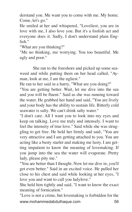derstand you. Me want you to come with me. My home. Come, let's go."

He smiled at her and whispered, "Loveliest, you are in love with me, I also love you. But it's a foolish act and everyone does it. Sadly, I don't understand plain English<sup>"</sup>

"What are you thinking?"

"Me no thinking, me worrying. You too beautiful. Me ugly and poor."

She ran to the foreshore and picked up some seaweed and while putting them on her head called, "Ayman, look at me, I am the ugliest."

He ran to her said in a hurry, "What are you doing?"

"You are getting better. Wait, let me dive into the sea and you will be fluent." Said as she was running toward the water. He grabbed her hand and said, "You are lively and your body has the ability to sustain life. Bitterly cold seawater is salty. We can't drink salty water."

"I don't care. All I want you to look into my eyes and keep on talking. Love me truly and intensely. I want to feel the intensity of true love." Said while she was struggling to get free. He held her firmly and said, "You are very attractive and I am getting attached to you. You are acting like a busty starlet and making me lusty. I am getting impatient to know the meaning of lovemaking. If you jump into the sea the water will evaporate. Pretty lady, please pity me."

"You are better than I thought. Now let me dive in, you'll get even better." Said in an excited voice. He pulled her close to his chest and said while looking at her eyes, "I love you and want to call you ladylove."

She held him tightly and said, "I want to know the exact meaning of fornication."

www.mohammedabdulhaque.com 56 "Love is not a crime, but lovemaking is forbidden for the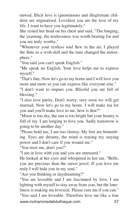unwed. Illicit love is ignominious and illegitimate children are stigmatised. Loveliest you are the love of my life. I want to have you legitimately."

She rested her head on his chest and said, "The longing, the yearning, the restlessness was worth bearing for and you are truly worthy."

"Whenever your restless soul flew in the air, I played the flute as a wish-doll and the tune changed the atmosphere."

"You said you can't speak English."

"Me speak no English. Your love helps me to express myself."

"That's fine. Now let's go to my home and I will love you more and more so you can express like everyone else."

"I don't want to impure you. Blissful you are full of blessing."

"I also love purity. Don't worry, very soon we will get married. Now let's go to my home. I will make tea for you and you'll make love to me, how is that?"

"Moon is too shy, the sun is too bright but your beauty is full of ray. I am longing to love you. Sadly tomorrow is going to be another day."

"Please hold me, I am too clumsy. My feet are benumbing. Eyes are dreamy, the mind is teasing my staying power and I don't care if you wound me."

"You trust me, don't you?"

"I am in love with you and you are entrusted."

He looked at her eyes and whispered in her ear, "Belle, you are precious than the rarest jewel. If you love me truly I will hide you in my soul."

"Are you thinking or daydreaming?"

"You are loveable and I am fascinated by love. I am fighting with myself to stay away from you, but the loneliness is making me lovesick. Please cure me if you can."

www.mohammedabdulhaque.com 57 "You said I am loveable. Therefore love me like a true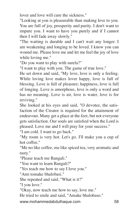lover and love will cure the sickness."

"Looking at you is pleasurable than making love to you. You are full of joy, prosperity and purity. I don't want to impure you. I want to have you purely and if I cannot then I will fade away slowly."

"The waiting is durable and I can't wait any longer. I am weakening and longing to be loved. I know you can wound me. Please love me and let me feel the joy of love while loving me."

"Do you want to play with surela?"

"I want to play with you. The game of true love."

He set down and said, "My love, love is only a feeling. While loving love makes lover happy, love is full of blessing. Love is full of pleasure; happiness, love is full of longing. Love is amorphous, love is only a word and has no meaning. Love is air, love is water, love is for reviving."

She looked at his eyes and said, "O devotee, the satisfaction of the Creator is required for the attainment of endeavour. Many get a place at the feet, but not everyone gets satisfaction. Our souls are satisfied when the Lord is pleased. Love me and I will pray for your success."

"I am cold. I want to go back."

"My room is very hot. Let's go. I'll make you a cup of hot coffee."

"Me no like coffee, me like spiced tea, very aromatic and tasty."

"Please teach me Bangali."

"You want to learn Bangali?"

"Yes teach me how to say I love you."

"Ami tomake bhalobasi."

She repeated and said, "What is it?"

"I you love."

"Okay, now teach me how to say, love me."

He tried to smile and said, "Amake bhalobaso."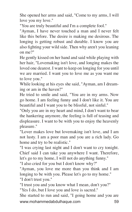She opened her arms and said, "Come to my arms, I will love you my love."

"You are truly beautiful and I'm a complete fool."

"Ayman, I have never touched a man and I never felt like this before. The desire is making me desirous. The longing is getting robust and durable. I know you are also fighting your wild side. Then why aren't you leaning on me?"

He gently kissed on her hand and said while playing with her hair, "Lovemaking isn't love, and longing makes the loved one dearest. I want to keep on longing for you until we are married. I want you to love me as you want me to love you."

While looking at his eyes she said, "Ayman, am I dreaming or am in the haven?"

He tried to smile and said, "You are in my arms. Now go home. I am feeling funny and I don't like it. You are beautiful and I want you to be blissful, not sinful."

"Only you are in my heart and mind, I don't want to bear the hankering anymore, the feeling is full of teasing and displeasure. I want to be with you to enjoy the heavenly pleasure."

"Lover makes love but lovemaking isn't love, and I am not lusty. I am a poor man and you are a rich lady. Go home and try to be realistic."

"I was crying last night and I don't want to cry tonight. Chief said I can take you anywhere I want. Therefore, let's go to my home, I will not do anything funny."

"I also cried for you but I don't know why?"

"Ayman, you love me more than you think and I am longing to be with you. Please let's go to my home." "I don't trust you."

"I trust you and you know what I mean, don't you?" "Yes I do, but I love you and love is sacred."

www.mohammedabdulhaque.com 59 She started to run and said, "I going home and you are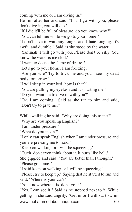coming with me or I am diving in."

He run after her and said, "I will go with you, please don't dive in, you will die."

"If I die it'll be full of pleasure, do you know why?" "You can tell me while we go to your home."

"I don't have to wait any longer and I hate longing. It's awful and durable." Said as she stood by the water.

"Yaminah, I will go with you. Please don't be silly. You know the water is ice clod."

"I want to douse the flame of desire."

"Let's go to your home, I am freezing."

"Are you sure? Try to trick me and you'll see my dead body tomorrow."

"I will sleep in your bed, how is that?"

"You are pulling my eyelash and it's hurting me."

"Do you want me to dive in with you?"

"Ok, I am coming." Said as she ran to him and said, "Don't try to grab me."

While walking he said, "Why are doing this to me?"

"Why are you speaking English?"

"I am under pressure."

"What do you mean?"

"I only can speak English when I am under pressure and you are pressing me to hard."

"Keep on walking or I will be squeezing."

"Ouch, don't even think about it, it hurts like hell."

She giggled and said, "You are better than I thought." "Please go home."

"I said keep on walking or I will be squeezing."

"Please, try to keep up." Saying that he started to run and said, "Where is your car?"

"You know where it is, don't you?"

www.mohammedabdulhaque.com 60 "Yes, I can see it." Said as he stopped next to it. While getting in she said angrily, "Get in or I will start swim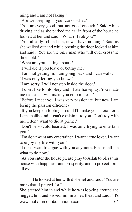ming and I am not faking."

"Are we sleeping in your car or what?"

"You are very good, but not good enough." Said while driving and as she parked the car in front of the house he looked at her and said, "What if I rob you?"

"You already robbed me, now I have nothing." Said as she walked out and while opening the door looked at him and said, "You are the only man who will ever cross the threshold."

"What are you talking about?"

"I will die if you leave or betray me."

"I am not getting in, I am going back and I can walk."

"I was only letting you know."

"I am sorry, I will not step inside the door."

"I don't like tomfoolery and I hate horseplay. You made me restless, I will make you emotionless."

"Before I meet you I was very passionate, but now I am losing the passion efficiency."

"If you keep on fooling around I'll make you a total fool. I am spellbound, I can't explain it to you. Don't toy with me, I don't want to die at prime."

"Don't be so cold-hearted, I was only trying to entertain you."

"I'm don't want any entertainer, I want a true lover. I want to enjoy my life with you."

"I don't want to argue with you anymore. Please tell me what to do now."

"As you enter the house please pray to Allah to bless this house with happiness and prosperity, and to protect form all evils."

He looked at her with disbelief and said, "You are more than I prayed for."

www.mohammedabdulhaque.com 61 She greeted him in and while he was looking around she hugged him and kissed him in a heartbeat and said, "It's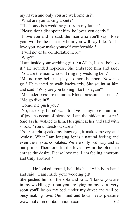my haven and only you are welcome in it."

"What are you talking about?"

"The house is a wedding gift from my father."

"Please don't disappoint him, he loves you dearly."

"I love you and he said, the man who you'll say I love you, will be the man to whom you will say I do. And I love you, now make yourself comfortable."

"I will never be comfortable here."

"Why?"

"I am inside your wedding gift. Ya Allah, I can't believe it." He sounded hopeless. She embraced him and said, "You are the man who will ring my wedding bell."

"Me no ring bell, me play no more bamboo. Now me go." He wanted to walk backwards. She squint at him and said, "Why are you talking like this again?"

"Me under pressure no more. Blood pressure is normal." "Me go dive in?"

"Come, me push you."

"No, it's okay. I don't want to dive in anymore. I am full of joy, the ocean of pleasure, I am the hidden treasure." Said as she walked to him. He squint at her and said with shock, "You understood surela."

"Your surela speaks my language, it makes me cry and restless. What I am longing for is a natural feeling and even the mystic copulates. We are only ordinary and at our prime. Therefore, let the love flow in the blood to enrage the desire. Please love me. I am feeling amorous and truly aroused."

He looked around, held his head with both hand and said, "I am inside your wedding gift."

www.mohammedabdulhaque.com 62 She pushed him on the sofa and said, "I know you are in my wedding gift but you are lying on my sofa. Very soon you'll be on my bed, under my duvet and will be busy making love. Our mind and body needs pleasure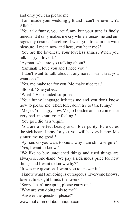and only you can please me."

"I am inside your wedding gift and I can't believe it. Ya Allah."

"You talk funny, you act funny but your tune is finely tuned and it only makes me cry while arouses me and enrages my desire. Therefore, I want you to calm me with pleasure. I mean now and here, you hear me?"

"You are the loveliest. Your loveless shines. When you talk angry, I love it."

"Ayman, what are you talking about?

"Yaminah, I love you and I need you."

"I don't want to talk about it anymore. I want tea, you want one?"

"Yes, me make tea for you. Me make nice tea."

"Stop it." She yelled.

"What!" He sounded surprised.

"Your funny language irritates me and you don't know how to please me. Therefore, don't try to talk funny."

"Me go. You angry now. Me go London and no come, me very bad, me hurt your feeling."

"You go I die as a virgin."

"You are a perfect beauty and I love purity. Pure cures the sick heart. I pray for you, you will be very happy. Me sinner, me no good."

"Ayman, do you want to know why I am still a virgin?" "Yes, I want to know."

"We like to buy untouched things and used things are always second-hand. We pay a ridiculous price for new things and I want to know why?"

"It was my question, I want you to answer it."

"I know what I am doing is outrageous. Everyone knows, love at first sight blinds the lovers."

"Sorry, I can't accept it, please carry on."

"Why are you doing this to me?"

"Answer the question please?"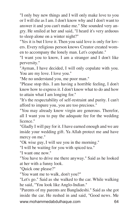"I only buy new things and I will only make love to you or I will die as I am. I don't know why and I don't want to answer it and you can't make me." She sounded very angry. He smiled at her and said, "I heard it's very arduous to sleep alone on a winter night?"

"Yes it is but I love it. Then you said love is only for lovers. Every religious person knows Creator created women to accompany the lonely man. Let's copulate."

"I want you to know, I am a stranger and I don't like perversity."

"Ayman, I have decided, I will only copulate with you. You are my love. I love you."

"Me no understand you, me poor man."

"Please stop this. I am having a horrible feeling, I don't know how to express it. I don't know what to do and how to attain what I am longing for."

"It's the respectability of self-restraint and purity. I can't afford to impure you, you are too precious."

"You may already know virgin are generous. Therefor, all I want you to pay the adequate fee for the wedding licence."

"Gladly I will pay for it. I have earned enough and we are inside your wedding gift. Ya Allah protect me and have mercy on me."

"Ok wise guy, I will see you in the morning."

"I will be waiting for you with spiced tea."

"I want one now."

"You have to drive me there anyway." Said as he looked at her with a funny look.

"Quick one please?"

"You want me to walk, don't you?"

"Let's go." Said as she walked to the car. While walking he said, "You look like Anglo-Indian."

www.mohammedabdulhaque.com 64 "Parents of my parents are Bangladeshi." Said as she got inside the car. He rushed in and said, "Good news. Me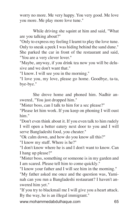worry no more. Me very happy. You very good. Me love you more. Me play more love tune."

While driving she squint at him and said, "What are you talking about?"

"Only to express my feeling I learnt to play the love tune. Only to sneak a peek I was hiding behind the sand dune." She parked the car in front of the restaurant and said, "You are a very clever lover."

"Maybe, anyway, if you drink tea now you will be delusive and we don't want that."

"I know. I will see you in the morning."

"I love you, my love, please go home. Goodbye, ta-ta, bye-bye."

She drove home and phoned him. Nadhir answered, "You just dropped him."

"Mister boss, can I talk to him for a sec please?"

"Please let him work. If you keep on phoning I will oust him."

"Don't even think about it. If you even talk to him rudely I will open a better eatery next door to you and I will serve Bangladeshi food, you cheater."

"Ok calm down, and how do you know all this?"

"I know my stuff. Where is he?"

"I don't know where he is and I don't want to know. Can I hang up please?"

"Mister boss, something or someone is in my garden and I am scared. Please tell him to come quickly."

"I know your father and I will see him in the morning." "My father asked me once and the question was, Yaminah can you run a Bangladeshi restaurant? I haven't answered him yet."

"If you try to blackmail me I will give you a heart attack. By the way, he is an illegal immigrant."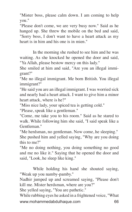"Mister boss, please calm down. I am coming to help you."

"Please don't come, we are very busy now." Said as he hanged up. She threw the mobile on the bed and said, "Sorry boss, I don't want to have a heart attack as my heart is in him and his one is in mien."

In the morning she rushed to see him and he was waiting. As she knocked he opened the door and said, "Ya Allah, please bestow mercy on this lady."

She smiled at him and said, "Are you an illegal immigrant?"

"Me no illegal immigrant. Me born British. You illegal immigrant?"

"He said you are an illegal immigrant. I was worried sick and nearly had a heart attack. I want to give him a minor heart attack, where is he?"

"Miss nice lady, your spiced tea is getting cold."

"Please, speak like a gentleman."

"Come, me take you to his room." Said as he stared to walk. While following him she said, "I said speak like a Gentleman."

"Me herdsman, no gentleman. Now come, he sleeping." She pushed him and yelled saying, "Why are you doing this to me?"

"Me no doing nothing, you doing something no good and me no like it." Saying that he opened the door and said, "Look, he sleep like king."

While holding his hand she shouted saying, "Weak up you namby-pamby."

Nadhir jumped up and screamed saying, "Please don't kill me. Mister herdsman, where are you?"

She yelled saying, "You are pathetic."

www.mohammedabdulhaque.com 66 While rubbing eyes he asked in a frightened voice, "What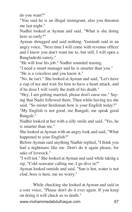do you want?"

"You said he is an illegal immigrant, also you threaten me last night."

Nadhir looked at Ayman and said, "What is she doing here so early?"

Ayman shrugged and said nothing. Yaminah said in an angry voice, "Next time I will come with revenue officer and I know you don't want me to, but still, I will open a Bangladeshi eatery."

"He will lose his job." Nadhir sounded teasing.

"I need a smart manager and he is smarter than you."

"He is a voiceless and you know it."

"No, he isn't." She looked at Ayman and said, "Let's have a cup of tea and wait for him to have a heart attack, and if he dose I will verify the truth of his death."

"Hey, I am getting married, please don't curse me." Saying that Nadir followed them. Then while having tea she said, "So mister herdsman how is your English today?"

"My English is not good, me Bangali, me speak good Bangali."

Nadhir looked at her with a silly smile and said, "Yes, he is smarter than me."

She looked at Ayman with an angry look and said, "What happened to your English?"

Before Ayman said anything Nadhir replied, "I think you had a nightmare like me. Don't do it again please, for sake of lovesick."

"I will not." She looked at Ayman and said while taking a sip, "Cold seawater calling me, I go dive in?"

Ayman looked outside and said, "Sun is hot, water is not clod, boss is here, me no worry."

While chucking she looked at Ayman and said in a sore voice, "Please don't do it ever again. If you keep on doing it will chuck us to death."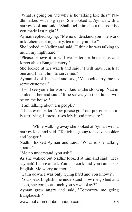"What is going on and why is he talking like this?" Nadhir asked with big eyes. She looked at Ayman with a narrow look and said, "Shall I tell him about the promise you made last night?"

Ayman replied saying, "Me no understand you, me work in kitchen, cooking curry, tea nice, you like?"

She looked at Nadhir and said, "I think he was talking to me in my nightmare."

"Please believe it, it will we better for both of us and forget about Bangali eatery."

She looked at her watch and said, "I will have lunch at one and I want him to serve me."

Ayman shook his head and said, "Me cook curry, me no serve customer."

"I will see you after work." Said as she stood up. Nadhir smiled at her and said, "If he serves you then lunch will be on the house."

"I am talking about ten people."

"That's even better. Now please go. Your presence is truly terrifying, it pressurises My blood pressure."

While walking away she looked at Ayman with a narrow look and said, "Tonight is going to be even colder and longer."

Nadhir looked Ayman and said, "What is she talking about?"

"Me no understand, you ask."

As she walked out Nadhir looked at him and said, "Hey say aah! I am excited. You can cook and you can speak English. Me worry no more,"

"Calm down, I was only trying hard and you know it."

"You speak English, me understand, now me go bed and sleep, she comes at lunch you serve, okay?"

Ayman grew angry and said, "Tomorrow me going Bangladesh."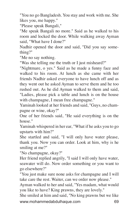"You no go Bangladesh. You stay and work with me. She likes you, me happy."

"Please speak Bangali,"

"Me speak Bangali no more." Said as he walked to his room and locked the door. While walking away Ayman said, "What have I done?"

Nadhir opened the door and said, "Did you say something?"

"Me no say nothing.

"Was she telling me the truth or I just misheard?"

"Nightmare, o yes." Said as he made a funny face and walked to his room. At lunch as she came with her friends Nadhir asked everyone to have lunch off and as they went out he asked Ayman to serve them and he too rushed out. As he did Ayman walked to them and said, "Ladies, please pick a table and lunch is on the house with champagne, I mean free champagne."

Yaminah looked at her friends and said, "Guys, no champagne or wine, okay?"

One of her friends said, "He said everything is on the house."

Yaminah whispered in her ear, "What if he asks you to go upstarts with him?"

She startled and said, "I will only have water please, thank you. Now you can order. Look at him, why is he smiling at me?"

"No champagne, okay?"

Her friend replied angrily, "I said I will only have water, seawater will do. Now order something or you want to go elsewhere?"

"You just make sure none asks for champagne and I will take care the rest. Waiter, can we order now please."

Ayman walked to her and said, "Yes madam, what would you like to have? King prawns, they are lovely."

www.mohammedabdulhaque.com 69 She smiled at him and said, "No king prawns but we like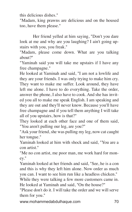this delicious dishes."

"Madam, king prawns are delicious and on the housed too, have them please."

Her friend yelled at him saying, "Don't you dare look at me and why are you laughing? I ain't going upstairs with you, you freak."

"Madam, please come down. What are you talking about?"

"Yaminah said you will take me upstairs if I have any free champagne."

He looked at Yaminah and said, "I am not a lowlife and they are your friends. I was only trying to make him cry. They want to make me suffer. Look around, they have left me alone. I have to do everything. Take the order, answer the phone, I also have to cook. And she has invited you all to make me speak English. I am speaking and they are out and they'll never know. Because you'll have free champagne and if you tell them anything I will take all of you upstairs, how is that?"

They looked at each other face and one of them said, "You aren't pulling our leg, are you?"

"Ask your friend, she was pulling my leg, now cat caught her tongue."

Yaminah looked at him with shock and said, "You are a con artist."

"Me no con artist, me poor man, me work hard for money."

Yaminah looked at her friends and said, "See, he is a con and this is why they left him alone. Now order as much you can. I want to see him run like a headless chicken."

While they were talking a few more customers came in. He looked at Yaminah and said, "On the house?"

"Please don't do it. I will take the order and we will serve them for you."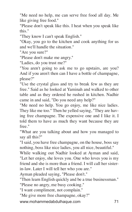"Me need no help, me can serve free food all day. Me like giving free food."

"Please don't speak like this. I heat when you speak like this."

"They know I can't speak English."

"Okay, you go to the kitchen and cook anything for us and we'll handle the situation."

"Are you sure?"

"Please don't make me angry."

"Ladies, do you trust me?"

"You aren't going to ask me to go upstairs, are you? And if you aren't then can I have a bottle of champagne, please?"

"Use the crystal glass and try to break few as they are free." Said as he looked at Yaminah and walked to other table and as they ordered he rushed in kitchen. Nadhir came in and said, "Do you need any help?"

"Me need no help. You go enjoy, me like nice ladies. They like me too." Then he yelled saying, "They are having free champagne. The expensive one and I like it. I told them to have as much they want because they are free."

"What are you talking about and how you managed to say all this?"

"I said, you have free champagne, on the house, boss say nothing, boss like nice ladies, you all nice, beautiful."

While walking out Nadhir looked at Ayman and said, "Let her enjoy, she loves you. One who loves you is my friend and she is more than a friend. I will call her sisterin-law. Later I will tell her who you are."

Ayman pleaded saying, "Please don't."

"Then learn English quickly and be a true businessman." "Please no angry, me busy cooking."

"I want compliment, not complain."

"Me give more free champagne, okay?"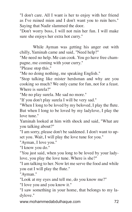"I don't care. All I want is her to enjoy with her friend as I've ruined mien and I don't want you to ruin hers." Saying that Nadir slammed the door.

"Don't worry boss, I will not ruin her fun. I will make sure she enjoys her extra hot curry."

While Ayman was getting his anger out with chilly, Yaminah came and said, "Need help?"

"Me need no help. Me can cook. You go have free champagne, me coming with your curry."

"Please stop this."

"Me no doing nothing, me speaking English."

"Stop talking like mister herdsman and why are you cooking so much? We only came for fun, not for a feast. Where is surela?"

"Me no play surela. Me sad no more."

"If you don't play surela I will be very sad."

"When I long to be loved by my beloved, I play the flute. But when I long to be loved by my ladylove, I play the love tune."

Yaminah looked at him with shock and said, "What are you talking about?"

"I am sorry, please don't be saddened. I don't want to upset you. Wait, I will play the love tune for you."

"Ayman, I love you."

"I know you do."

"You just said, when you long to be loved by your ladylove, you play the love tune. Where is she?"

"I am talking to her. Now let me serve the food and while you eat I will play the flute."

"Ayman."

"Look at my eyes and tell me, do you know me?"

"I love you and you know it."

"I saw something in your home, that belongs to my ladylove."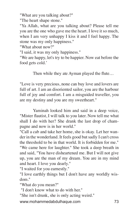"What are you talking about?"

"The heart shape stone."

"Ya Allah, what are you talking about? Please tell me you are the one who gave me the heart. I love it so much, when I am very unhappy I kiss it and I feel happy. The stone was my only happiness."

"What about now?"

"I said, it was my only happiness."

"We are happy, let's try to be happier. Now eat before the food gets cold.'

Then while they ate Ayman played the flute...

"Love is very precious, none can buy love and lovers are full of art. I am an disoriented sailor, you are the harbour full of joy and comfort. I am a misguided traveller, you are my destiny and you are my sweetheart."

Yaminah looked him and said in a deep voice, "Mister flautist, I will talk to you later. Now tell me what shall I do with her? She drank the last drop of champagne and now is in her world."

"Call a cab and take her home, she is okay. Let her wander in the wonderland. It feels good but sadly I can't cross the threshold to be in that world. It is forbidden for me." "We came here for laughter." She took a deep breath in and said, "You have disheartened me. But I will not give up, you are the man of my dream. You are in my mind and heart. I love you dearly."

"I waited for you earnestly."

"I love earthly things but I don't have any worldly wisdom."

"What do you mean?"

"I don't know what to do with her."

"She isn't drunk, she is only acting weird."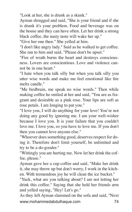"Look at her, she is drunk as a skunk."

Ayman shrugged and said, "She is your friend and if she is drunk it's your problem. Food and beverage was on the house and they can have often. Let her drink a strong black coffee, the nasty taste will wake her up."

"Give her one then." She yelled at him.

"I don't like angry lady." Said as he walked to get coffee. She ran to him and said, "Please don't be upset."

"Fire of wrath burns the heart and destroys consciousness. Lovers are conscientious. Love and violence cannot be in one heart."

"I hate when you talk silly but when you talk silly you utter wise words and make me feel emotional like fire melts candle."

"Me birdbrain, me speak no wise words." Then while making coffee he smiled at her and said, "You are as fragrant and desirable as a pink rose. Your lips are soft as rose petals. I am longing to pat you."

"I love you, I will do anything for your love! You're not doing any good by ignoring me. I am your well-wisher because I love you. It is your failure that you couldn't love me. I love you, so you have to love me. If you don't then you cannot love anyone else."

"Whoever does something good, deserves respect for doing it. Therefore don't limit yourself, be unlimited and try to be a do-gooder."

"Wittingly you are hurting me. Now let her drink the coffee, please."

Ayman gave her a cup coffee and said, "Make her drink it, she may throw up but don't worry, I work in the kitchen. With tremendous joy he will clean the ice bucket."

"Yuck, what are you talking about? I am not letting her drink this coffee." Saying that she held her friends arm and yelled saying, "Hey! Let's go."

www.mohammedabdulhaque.com 74 As they left Ayman slammed on the sofa and said, "Next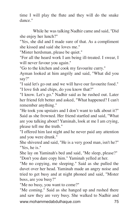time I will play the flute and they will do the snake dance."

While he was talking Nadhir came and said, "Did she enjoy her lunch?"

"Yes, she did and I made sure of that. As a compliment she kissed and said she loves me."

"Mister herdsman, please be quiet."

"For all the heard work I am being ill-treated. I swear, I will never favour you again."

"Go to the kitchen and cook my favourite curry."

Ayman looked at him angrily and said, "What did you say?"

"I said let's go out and we will have our favourite food." "I love fish and chips, do you know that?"

"I know. Let's go." Nadhir said as he rushed out. Later her friend felt better and asked, "What happened? I can't remember anything."

"He took you upstairs and I don't want to talk about it?" Said as she frowned. Her friend startled and said, "What are you talking about? Yaminah, look at me I am crying, please tell me the truth."

"I offered him last night and he never paid any attention and you were drunk."

She shivered and said, "He is a very good man, isn't he?" "Yes, he is."

She lay on Yaminah's bed and said, "Me sleep, please?" "Don't you dare copy him." Yaminah yelled at her.

"Me no copying, me sleeping." Said as she pulled the duvet over her head. Yaminah made an angry noise and tried to get busy and at night phoned and said, "Mister boss, are you busy?"

"Me no busy, you want to come?"

www.mohammedabdulhaque.com 75 "Me coming." Said as she hanged up and rushed there and saw they are very busy. She walked to Nadhir and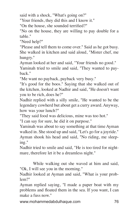said with a shock, "What's going on?"

"Your friends, they did this and I know it."

"On the house, she sounded terrified?"

"No on the house, they are willing to pay double for a table."

"Need help?"

"Please and tell them to come over." Said as he got busy. She walked in kitchen and said aloud, "Mister chef, me hungry."

Ayman looked at her and said, "Your friends no good."

Yaminah tried to smile and said, "They wanted to payback."

"Me want no payback, payback very busy."

"It's good for the boos." Saying that she walked out of the kitchen, looked at Nadhir and said, "He doesn't want you to be rich, does he?"

Nadhir replied with a silly smile, "He wanted to be the legendary cowherd but about get a curry award. Anyway, how was your lunch?"

"They said food was delicious, mine was too hot."

"I can say for sure, he did it on purpose."

Yaminah was about to say something at that time Ayman walked in. She stood up and said, "Let's go for a joyride." Ayman shook his head and said, "No riding, me sleeping."

Nadhir tried to smile and said, "He is too tired for nightmare, therefore let it be a dreamless night."

While walking out she waved at him and said, "Ok, I will see you in the morning."

Nadhir looked at Ayman and said, "What is your problem?"

Ayman replied saying, "I made a paper boat with my problems and floated them in the sea. If you want, I can make a fuss now."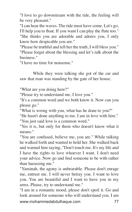"I love to go downstream with the tide, the feeling will be very pleasant."

"I can hear the waves. The tide must have come. Let's go, I'll help you to float. If you want I can play the flute too."

"She thinks you are adorable and adores you, I only know how despicable you are."

"Please be truthful and tell her the truth, I will bless you." "Please forget about the blessing and let's talk about the business."

"I have no time for nonsense."

While they were talking she got of the car and saw that man was standing by the gate of her house.

"What are you doing here?"

"Please try to understand me, I love you."

"It's a common word and we both know it. Now can you please go."

"What is wrong with you, what has he done to you?"

"He hasn't done anything to me. I am in love with him."

"You just said love is a common word."

"Yes it is, but only for them who doesn't know what it means."

"You are confused, believe me, you are." While talking he walked forth and wanted to hold her. She walked back and warned him saying, "Don't touch me. It's my life and I have the rights to love whoever I want. I don't need your advice. Now go and find someone to be with rather than harassing me."

"Yaminah, the agony is unbearable. Please don't enrage me, entrust me. I will never betray you. I want to love you. You are beautiful and I want to have you in my arms. Please, try to understand me."

www.mohammedabdulhaque.com 77 "I am in a romantic mood, please don't spoil it. Go and look around for someone who will understand you. I am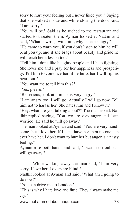sorry to hurt your feeling but I never liked you." Saying that she walked inside and while closing the door said, "I am sorry."

"You will be." Said as he ruched to the restaurant and started to threaten them. Ayman looked at Nadhir and said, "What is wrong with him, why is he so angry?"

"He came to warn you, if you don't listen to him he will beat you up, and if she brags about beauty and pride he will teach her a lesson too."

"Tell him I don't like haughty people and I hate fighting. She loves me and I pray for her happiness and prosperity. Tell him to convince her, if he hurts her I will rip his heart out."

"You want me to tell him this?"

"Yes, please."

"Be serious, look at him, he is very angry."

"I am angry too. I will go. Actually I will go now. Tell him not to harass her. She hates him and I know it."

"Hey, what are you talking about?" The man asked. Nadhir replied saying, "You two are very angry and I am worried. He said he will go away."

The man looked at Ayman and said, "You are very handsome, but I love her. If I can't have her then no one can ever have her. I don't want to hurt her but anger is a nasty feeling."

Ayman rose both hands and said, "I want no trouble. I will go away."

While walking away the man said, "I am very sorry. I love her. Lovers are blind."

Nadhir looked at Ayman and said, "What am I going to do now?"

"You can drive me to London."

"This is why I hate love and flute. They always make me cry."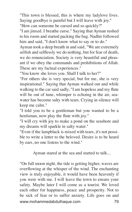"This town is blessed, this is where my ladylove lives. Saying goodbye is painful but I will leave with joy." "How can someone be cursed and so quickly?"

"I am jinxed. I breathe curse." Saying that Ayman rushed to his room and started packing the bag. Nadhir followed him and said, "I don't know what to say or to do."

Ayman took a deep breath in and said, "We are extremely selfish and selflessly we do nothing, but for fear of death, we do renunciation. Society is very beautiful and pleasant if we obey the commands and prohibitions of Allah. These are my factual experiences."

"You know she loves you. Shall I talk to her?"

"For others she is very special, but for me, she is very inspirational." Saying that Ayman walked out and while walking to the car said sadly, "I am hopeless and my flute will be out of tune, whimper is echoing in the air, seawater has become salty with tears. Crying in silence will keep me calm."

"I told you to be a gentleman but you wanted to be a herdsman, now play the flute with joy."

"I will cry with joy to make a pond on the seashore and my dreams will sparkle in salty water."

"Even if the lampblack is mixed with tears, it's not possible to write a letter to the beloved. Desire is to be heard by ears, no one listens to the wind."

Ayman stared at the sea and started to talk...

www.mohammedabdulhaque.com 79 "On full moon night, the tide is getting higher, waves are overflowing at the whisper of the wind. The enchanting view is truly enjoyable, it would have been heavenly if you were with me. I will leave the town to ensure your safety. Maybe later I will come as a tourist. We loved each other for happiness, peace and prosperity. Not to be sick of fear or to suffer anxiety. Life goes on and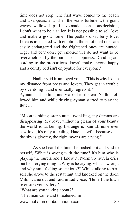time does not stop. The first wave comes to the beach and disappears, and when the sea is turbulent, the giant waves swallow ships. I have made a conscious decision, I don't want to be a sailor. It is not possible to sell love and make a good home. The pedlars don't ferry love. Love is associated with emotion, the emotional ones are easily endangered and the frightened ones are hunted. Tiger and bear don't get emotional. I do not want to be overwhelmed by the pursuit of happiness. Dividing according to the proportions doesn't make anyone happy and a comfy bed isn't enjoyable for everyone."

Nadhir said in annoyed voice, "This is why I keep my distance from poets and lovers. They get in trouble by overdoing it and eventually regrets it."

Ayman said nothing and walked to the car. Nadhir followed him and while driving Ayman started to play the flute…

"Moon is hiding, starts aren't twinkling, my dreams are disappearing. My love, without a gleam of your beauty the world is darkening. Estrange is painful, none ever saw love, it's only a feeling. Hate is awful because of it the sky is gloomy, the right ravens are crying."

As she heard the tune she rushed out and said to herself, "What is wrong with the tune? It's him who is playing the surela and I know it. Normally surela cries but he is crying tonight. Why is he crying, what is wrong, and why am I feeling so anxious?" While talking to herself she drove to the restaurant and knocked on the door. Milon came out and said in sad voice, "He left the town to ensure your safety."

"What are you talking about?"

"That man came and threatened him."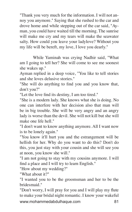"Thank you very much for the information. I will not annoy you anymore." Saying that she rushed to the car and drove home and while stepping out of the car said, "Ayman, you could have waited till the morning. The sunrise will make me cry and my tears will make the seawater salty. How could you leave your ladylove? Without you my life will be bereft, my love, I love you dearly."

While Yaminah was crying Nadhir said, "What am I going to tell her? She will come to see me soonest she wakes up."

Ayman replied in a deep voice, "You like to tell stories and she loves delusive stories."

"She will do anything to find you and you know that, don't you?"

"Let the love find its destiny, I am too tired."

"She is a modern lady. She knows what she is doing. No one can interfere with her decision also that man will be in big trouble. She will be very angry and an angry lady is worse than the devil. She will not kill but she will make one life hell."

"I don't want to know anything anymore. All I want now is to be lonely again."

"You know it'll hurt you and the estrangement will be hellish for her. Why do you want to do this? Don't do this, you just stay with your cousin and she will see you at noon, you know she will."

"I am not going to stay with my cousins anymore. I will find a place and I will try to learn English."

"How about my wedding?"

"What about it?"

"I wanted you to be the groomsman and her to be the bridesmaid."

www.mohammedabdulhaque.com 81 "Don't worry, I will pray for you and I will play my flute to make your bridal night romantic. I know your wakeful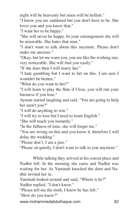night will be heavenly but mien will be hellish."

"I know you are saddened but you don't have to be. She loves you and you know that."

"I want her to be happy."

"She will never be happy. In your estrangement she will be miserable. She hates that man."

"I don't want to talk about this anymore. Please don't make me anxious."

"Okay, but let me warn you, you are like the wishing star, very noticeable. She will find you easily."

"If she does then I will marry her."

"I hate gambling but I want to bet on this. I am sure I wouldn't be beaten."

"What do you want to bet?"

"I will learn to play the flute if I lose, you will run your business if you lose."

Ayman started laughing and said, "You are going to help her aren't you?"

"I will do anything to win."

"I will try to lose but I need to learn English."

"She will teach you instantly."

"In the fullness of time, she will forget me."

"You are wrong on this and you know it, therefore I will delay the wedding."

"Please don't, I am a jinx."

"Please sit quietly, I don't want to talk to you anymore."

While talking they arrived at his cousin place and Nadhir left. In the morning she came and Nadhir was waiting for her. As Yaminah knocked the door and Nadhir invited her in.

Yaminah looked around and said, "Where is he?" Nadhir replied, "I don't know."

"Please tell me the truth, I know he has left."

"How do you know?"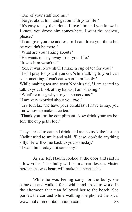"One of your staff told me."

"Forget about him and get on with your life."

"It's easy to say than done. I love him and you know it. I know you drove him somewhere. I want the address, please."

"I can give you the address or I can drive you there but he wouldn't be there."

"What are you talking about?"

"He wants to stay away from your life."

"It was him wasn't it?"

"Yes, it was. Now shall I make a cup of tea for you?"

"I will pray for you if you do. While talking to you I can eat something, I can't eat when I am lonely."

While making tea and toast Nadhir said, "I am scared to talk to you. Look at my hands, I am shaking."

"What's wrong, why are you so nervous?"

"I am very worried about you two."

"Try to relax and have your breakfast. I have to say, you know how to make nice tea.'

'Thank you for the compliment. Now drink your tea before the cup gets clod.'

They started to eat and drink and as she took the last sip Nadhir tried to smile and said, "Please, don't do anything silly. He will come back to you someday."

"I want him today not someday."

As she left Nadhir looked at the door and said in a low voice, "The bully will learn a hard lesson. Mister herdsman sweetheart will make his heart ache."

www.mohammedabdulhaque.com 83 While he was feeling sorry for the bully, she came out and walked for a while and drove to work. In the afternoon that man followed her to the beach. She parked the car and while walking she phoned the local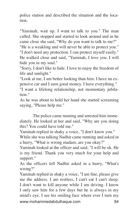police station and described the situation and the location.

"Yaminah, wait up. I want to talk to you." The man called. She stopped and started to look around and as he came close she said, "Why do you want to talk to me?"

"He is a weakling and will never be able to protect you." "I don't need any protection. I can protect myself easily." He walked close and said, "Yaminah, I love you. I will hide you in my soul."

"Sorry, I don't like to hide. I love to enjoy the freedom of life and sunlight."

"Look at me, I am better looking than him. I have an expensive car and I earn good money. I have everything."

"I want a lifelong relationship, not momentary jubilation."

As he was about to hold her hand she started screaming saying, "Please help me."

The police came running and arrested him immediately. He looked at her and said, "Why are you doing this? You could have told me."

Yaminah replied in shaky a voice, "I don't know you."

While she was talking Nadhir came running and asked in a hurry, "What is wrong madam, are you okay?"

Yaminah looked at the officer and said, "I will be ok. He is my friend. Thank you very much for your help and support."

As the officers left Nadhir asked in a hurry, "What's wrong?"

www.mohammedabdulhaque.com 84 Yaminah replied in shaky a voice, "I am fine, please give me the address. I am restless, I can't eat I can't sleep. I don't want to kill anyone while I am driving. I know I only saw him for a few days but he is always in my mind's eye. I see his smiling face where ever I turn my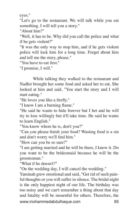eyes."

"Let's go to the restaurant. We will talk while you eat something. I will tell you a story."

"About him?"

"Well, it has to be. Why did you call the police and what if he gets violent?"

"It was the only way to stop him, and if he gets violent police will lock him for a long time. Forget about him and tell me the story, please."

"You have to eat first."

"I promise, I will."

While talking they walked to the restaurant and Nadhir brought her some food and asked her to eat. She looked at him and said, "You start the story and I will start eating."

"He loves you like a firefly."

"I know I am a burning flame."

"He said he wants to hide forever but I bet and he will try to lose willingly but it'll take time. He said he wants to learn English."

"You know where he is, don't you?"

"Can you please finish your food? Wasting food is a sin and don't worry we'll find him."

"How can you be so sure?"

"I am getting married and he will be there, I know it. Do you want to be the bridesmaid because he will be the groomsman."

"What if he doesn't?"

"On the wedding day, I will cancel the wedding."

www.mohammedabdulhaque.com 85 Yaminah grew emotional and said, "Get rid of such painful thoughts or you will suffer in silence. The bridal night is the only happiest night of our life. The birthday was too noisy and we can't remember a thing about that day and fatality will be mournful for others. Therefore, the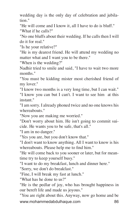wedding day is the only day of celebration and jubilation."

"He will come and I know it, all I have to do is bluff." "What if he calls?"

"No one bluffs about their wedding. If he calls then I will do it for real."

"Is he your relative?"

"He is my dearest friend. He will attend my wedding no matter what and I want you to be there."

"When is the wedding?"

Nadhir tried to smile and said, "I have to wait two more months."

"You must be kidding mister most cherished friend of my lover."

"I know two months is a very long time, but I can wait." "I know you can but I can't. I want to see him at this instant."

"I am sorry. I already phoned twice and no one knows his whereabouts."

"Now you are making me worried."

"Don't worry about him. He isn't going to commit suicide. He wants you to be safe, that's all."

"I am in no danger."

"Yes you are, but you don't know that."

"I don't want to know anything. All I want to know is his whereabouts. Please help me to find him."

"He will come back to you sooner or later, but for meantime try to keep yourself busy."

"I want to do my breakfast, lunch and dinner here."

"Sorry, we don't do breakfast."

"Fine, I will break my fast at lunch."

"What has he done to us?"

"He is the pedlar of joy, who has brought happiness in our bereft life and made us joyous."

www.mohammedabdulhaque.com 86 "You are right about this. Anyway, now go home and be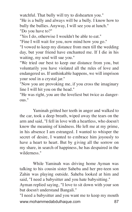watchful. That bully will try to dishearten you."

"He is a bully and always will be a bully. I know how to bully the bullies. Anyway, I will see you at lunch." "Do you have to?"

"Yes I do, otherwise I wouldn't be able to eat."

"Fine I will wait for you, now mind how you go."

"I vowed to keep my distance from men till the wedding day, but your friend have enchanted me. If I die in his waiting, my soul will sue you."

"We tried our best to keep our distance from you, but voluntarily you have violated all the rules of love and endangered us. If unthinkable happens, we will imprison your soul in a crystal jar."

"Now you are provoking me, if you cross the imaginary line I will hit you on the head."

"He was right, you are the loveliest but twice as dangerous."

Yaminah gritted her teeth in anger and walked to the car, took a deep breath, wiped away the tears on the arm and said, "I fell in love with a heartless, who doesn't know the meaning of kindness. He left me at my prime, in his absence I am estranged. I wanted to whisper the secret of desire, I wanted to e mbrace him joyously to have a heart to heart. But by giving all the sorrow on my share, in search of happiness, he has despaired in the wilderness."

While Yaminah was driving home Ayman was talking to his cousin sister Saheba and her pre-teen son Zahin was playing outside. Saheba looked at him and said, "I need a babysitter and you hate babysitting."

Ayman replied saying, "I love to sit down with your son but doesn't understand Bangali."

www.mohammedabdulhaque.com 87 "I need a babysitter and you want me to keep my mouth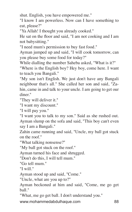shut. English, you have empowered me."

"I know I am powerless. Now can I have something to eat, please?"

"Ya Allah! I thought you already cooked."

He sat on the floor and said, "I am not cooking and I am not babysitting."

"I need mum's permission to buy fast food."

Ayman jumped up and said, "I will cook tomorrow, can you please buy some food for today?"

While dialling the number Saheba asked, "What is it?"

"Where is the English boy? Hey boy, come here. I want to teach you Bangali."

"My son isn't English. We just don't have any Bangali neighbour that's all." She called her son and said, "Zahin, came in and talk to your uncle. I am going to get our diner."

"They will deliver it."

"I want my discount."

"I will pay you."

"I want you to talk to my son." Said as she rushed out. Ayman slump on the sofa and said, "This boy can't even say I am a Bangali."

Zahin came running and said, "Uncle, my ball got stuck on the roof."

"What talking nonsense?"

"My ball got stuck on the roof."

Ayman turned his face and shrugged.

"Don't do this, I will tell mum."

"Go tell mum."

"I will."

Ayman stood up and said, "Come."

"Uncle, what are you up to?"

Ayman beckoned at him and said, "Come, me go get ball."

"What, me go get ball. I don't understand you."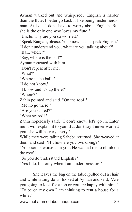Ayman walked out and whispered, "English is harder than the flute. I better go back, I like being mister herdsman. At least I don't have to worry about English. But she is the only one who loves my flute."

"Uncle, why are you so worried?"

"Speak Bangali, please. You know I can't speak English."

"I don't understand you, what are you talking about?"

"Ball, where?"

"Say, where is the ball?"

Ayman repeated with him.

"Don't repeat after me."

"What?"

"Where is the ball?"

"I do not know."

"I know and it's up there?"

"Where?"

Zahin pointed and said, "On the roof."

"Me no go there."

"Are you scared?"

"What scared?"

Zahin hopelessly said, "I don't know, let's go in. Later mum will explain it to you. But don't say I never warned you, she will be very angry."

While they were talking Saheba returned. She weaved at them and said, "Hi, how are you two doing?"

"Your son is worse than you. He wanted me to climb on the roof."

"So you do understand English?"

"Yes I do, but only when I am under pressure."

She leaves the bag on the table, pulled out a chair and while sitting down looked at Ayman and said, "Are you going to look for a job or you are happy with him?"

"To be on my own I am thinking to rent a house for a while."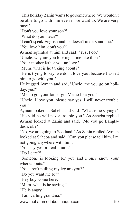"This holiday Zahin wants to go somewhere. We wouldn't be able to go with him even if we want to. We are very busy."

"Don't you love your son?"

"What do you mean?"

"I can't speak English and he doesn't understand me."

"You love him, don't you?"

Ayman squinted at him and said, "Yes, I do."

"Uncle, why are you looking at me like this?"

"Your mother father you no love."

"Mum, what is he talking about?"

"He is trying to say, we don't love you, because I asked him to go with you."

He hugged Ayman and sad, "Uncle, me you go on holiday, yes?"

"Me no go, your father go. Me no like you."

"Uncle, I love you, please say yes. I will never trouble you."

Ayman looked at Saheba and said, "What is he saying?"

"He said he will never trouble you." As Saheba replied Ayman looked at Zahin and said, "Me you go Bangladesh, ok?"

"No, we are going to Scotland." As Zahin replied Ayman looked at Saheba and said, "Can you please tell him, I'm not going anywhere with him."

"You say yes or I call mum."

"Do I care?"

"Someone is looking for you and I only know your whereabouts."

"You aren't pulling my leg are you?"

"Do you want me to?"

"Hey boy, come here."

"Mum, what is he saying?"

"He is angry."

"I am calling grandma."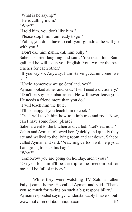"What is he saying?"

"He is calling mum."

"Why?"

"I told him, you don't like him."

"Please stop him, I am ready to go."

"Zahin, you don't have to call your grandma, he will go with you."

"Don't call him Zahin, call him bully."

Saheba started laughing and said, "You teach him Bangali and he will teach you English. You two are the best teacher for each other."

"If you say so. Anyway, I am starving. Zahin come, we eat."

"Uncle, tomorrow we go Scotland, yes?"

Ayman looked at her and said, "I will need a dictionary."

"Don't be shy or embarrassed. He will never tease you. He needs a friend more than you do."

"I will teach him the flute."

"I'll be happy if you teach him to cook."

"Ok, I will teach him how to climb tree and roof. Now, can I have some food, please?"

Saheba went to the kitchen and called, "Let's eat now." Zahin and Ayman followed her. Quickly and quietly they ate and walked to the living room and sat down. Saheba called Ayman and said, "Watching cartoon will help you. I am going to pack his bag."

"Why?"

"Tomorrow you are going on holiday, aren't you?"

"Oh yes, for him it'll be the trip to the freedom but for me, it'll be full of misery."

www.mohammedabdulhaque.com 91 While they were watching TV Zahin's father Faiyaj came home. He called Ayman and said, "Thank you so much for taking on such a big responsibility." Ayman responded saying, "Understandably I have shoul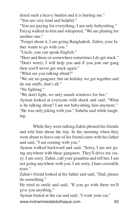dered such a heavy burden and it is hurting me."

"You are very kind and helpful."

"You are paying for everything, I am only babysitting." Faiyaj walked to him and whispered, "We are planing for another one."

"Forget about it, I am going Bangladesh. Zahin, your father wants to go with you."

"Uncle, you can speak English."

"Here and there or somewhere sometimes I do get stuck."

"Don't worry, I will help you and if you join our gang then you'll never get stuck again."

"What are you talking about?"

"We are no gangster, but on holiday we get together and do our stuffs, that's all."

"No fighting."

"We don't fight, we only smash windows for fun."

Ayman looked at everyone with shock and said, "What is he talking about? I am not babysitting him anymore." "He was only joking with you." Saheba said while laughing.

While they were talking Zahin phoned his friends and told him about the trip. In the morning when they were about to leave one of his friend came with his father and said, "I am coming with you."

Ayman walked backward and said, "Sorry, I am not going anywhere with these gangsters. They'll drive me crazy. I am sorry. Zahin, call your grandma and tell her, I am not going anywhere with you. I am sorry, I hate crocodile tears."

Zahin's friend looked at his father and said, "Dad, please do something."

He tried to smile and said, "If you go with them we'll give you anything."

Ayman hinted at the car and said, "I want your car."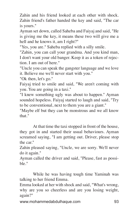Zahin and his friend looked at each other with shock. Zahin friend's father handed the key and said, "The car is yours."

Ayman set down, called Saheba and Faiyaj and said, "He is giving me the key, it means these two will give me a hell and he knows it, am I right?"

"Yes, you are." Saheba replied with a silly smile.

"Zahin, you can call your grandma. And you kind man, I don't want your old banger. Keep it as a token of rejection. I am out of here."

"Uncle you can speak the gangster language and we love it. Believe me we'll never start with you."

"Ok then, let's go."

Faiyaj tried to smile and said, "We aren't coming with you. You are going in a taxi."

"I knew something ugly was about to happen." Ayman sounded hopeless. Faiyaj started to laugh and said, "Try to be conventional, next to them you are a giant."

"Maybe elf but they can be monstrous and we all know that."

At that time the taxi stopped in front of the house, they got in and started their usual behaviours. Ayman screamed saying, "I am getting out. Driver, please stop the car."

Zahin pleased saying, "Uncle, we are sorry. We'll never do it again."

Ayman called the driver and said, "Please, fast as possible."

While he was having tough time Yaminah was talking to her friend Emma.

Emma looked at her with shock and said, "What's wrong, why are you so cheerless and are you losing weight, again?"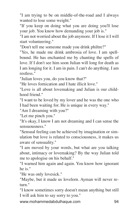"I am trying to be on middle-of-the-road and I always wanted to lose some weight."

"If you keep on doing what you are doing you'll lose your job. You know how demanding your job is."

"I am not worried about the job anymore. If I lose it I will start volunteering."

"Don't tell me someone made you drink philtre?"

"Yes, he made me drink ambrosia of love. I am spellbound. He has enchanted me by chanting the spells of love. If I don't see him soon Julian will long for death as I am longing for it. I am in pain. I can't do anything. I am restless."

"Julian loves you, do you know that?"

"He loves fornication and I hate illicit love."

"Love is all about lovemaking and Julian is our childhood friend."

"I want to be loved by my lover and he was the one who I had been waiting for. He is unique in every way."

"Am I dreaming with you?"

"Let me pinch you."

"It's okay, I know I am not dreaming and I can sense the sensuousness."

"Sensual feeling can be achieved by imagination or simulation but love is related to consciousness, it makes us aware of sensuality."

"I am moved by your words, but what are you talking about, intimacy or lovemaking? By the way Julian told me to apologise on his behalf."

"I warned him again and again. You know how ignorant he is."

"He was only lovesick."

"Maybe, but it made us lovelorn. Ayman will never return."

"I know sometimes sorry doesn't mean anything but still I will ask him to say sorry to you."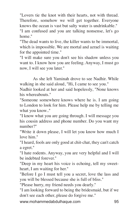"Lovers tie the knot with their hearts, not with thread. Therefore, somehow we will get together. Everyone knows the ocean is vast but salty water is undrinkable."

"I am confused and you are talking nonsense, let's go home."

"The dead wants to live, the killer wants to be immortal, which is impossible. We are mortal and azrael is waiting for the appointed time."

"I will make sure you don't see his shadow unless you want to. I know how you are feeling. Anyway, I must go now, I will see you later."

As she left Yaminah drove to see Nadhir. While walking in she said aloud, "Hi, I came to see you."

Nadhir looked at her and said hopelessly, "None knows his whereabouts."

"Someone somewhere knows where he is. I am going to London to look for him. Please help me by telling me what you know.."

"I know what you are going through. I will message you his cousin address and phone number. Do you want my number?"

"Write it down please, I will let you know how much I love him."

"I heard, fools are only good at chit-chat, they can't catch a egret."

"I hate rodents. Anyway, you are very helpful and I will be indebted forever."

"Deep in my heart his voice is echoing, tell my sweetheart, I am waiting for her."

"Before I go I must tell you a secret, love the lass and you will be blessed because she is full of bliss."

"Please hurry, my friend needs you dearly."

"I am looking forward to being the bridesmaid, but if we don't see each other, please do forgive me."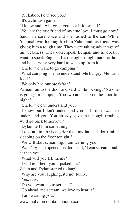"Peekaboo, I can see you."

"It's a childish game."

"I know and I will greet you as a bridesmaid."

"You are the true friend of my true love. I must go now." Said in a sore voice and she rushed to the car. While Yaminah was looking fro him Zahin and his friend was giving him a tough time. They were taking advantage of his weakness. They don't speak Bengali and he doesn't want to speak English. It's the ugliest nightmare for him and he is trying very hard to wake up from it.

"Uncle, we want to go camping."

"What camping, me no understand. Me hungry, Me want food."

"We only had our breakfast."

Ayman ran to the door and said while locking, "No one is going for camping. You two are sleep on the floor tonight."

"Uncle, we can understand you."

"I know but I don't understand you and I don't want to understand you. You already gave me enough trouble, we'll go back tomorrow."

"Dylan, tell him something."

"Look at him, he is angrier than my father. I don't mind sleeping on the floor tonight."

"We will start screaming. I am warning you."

"Wait." Ayman opened the door said, "I can scream louder than you."

"What will you tell them?"

"I will tell them you hijacked me."

Zahin and Dylan started to laugh.

"Why are you laughing, it's not funny."

"Yes, it is."

"Do you want me to scream?"

"Go ahead and scream, we love to hear it."

"I am warning you."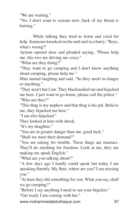"We are waiting."

"No, I don't want to scream now, back of my throat is hurting."

While talking they tried to listen and cried for help. Someone knocked on the and said in a hurry, "Boys, what's wrong?"

Ayman opened door and pleaded saying, "Please help me, this two are driving me crazy."

"What are they doing?"

"They want to go camping and I don't know anything about camping, please help me."

Man started laughing and said, "So they aren't in danger or anything."

"They aren't but I am. They blackmailed me and hijacked me here. I just want to go home, please call the police." "Who are they?"

"This thug is my nephew and that thug is his pal. Believe me, they hijacked me here."

"I am also hijacked."

They looked at him with shock.

"It's my daughter."

"You are in greater danger than me, good luck."

"Shall we meet their demand?"

"You are asking for trouble. These thugs are maniacs. They'll do anything for freedom. Look at me, they are making me speak English."

"What are you talking about?"

"A few days ago I hardly could speak but today I am speaking fluently. My flute, where are you? I am missing you."

"At least they did something for you. What you say, shall we go camping?"

"Before I say anything I need to see your hijacker."

"Get ready I am coming with her."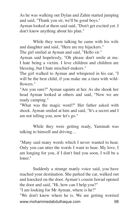As he was walking out Dylan and Zahin started jumping and said, "Thank you sir, we'll be good boys." Ayman looked at them said said, "Don't get excited yet. I don't know anything about his plan."

While they were talking he came with his wife and daughter and said, "Here are my hijackers."

The girl smiled at Ayman and said, "Hello sir."

Ayman said hopelessly, "Oh please don't smile at me. I hate being a victim. I love children and children are blessing, but I hate mischief-makers."

The girl walked to Ayman and whispered in his ear, "I will be the best child, if you make me a tiara with wildflowers."

"Are you sure?" Ayman squints at her. As she shook her head Ayman looked at others and said, "Now we are ready camping."

"What was the magic word?" Her father asked with shock. Ayman smiled at him and said, "It's a secret and I am not telling you, now let's go."

While they were getting ready, Yaminah was talking to himself and driving…

"Many said many words which I never wanted to hear. Only you can utter the words I want to hear. My love, I am longing for you, if I don't find you soon, I will be a loner."

www.mohammedabdulhaque.com 98 Suddenly a strange manly voice said, you have reached your destination. She parked the car, walked out and knocked on the door. Ayman's cousin Jawad opened the door and said, "Hi, how can I help you?" "I am looking for Mr Ayman, where is he?" "We don't know where he is. We are getting worried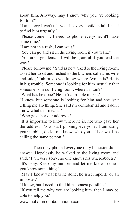about him. Anyway, may I know why you are looking for him?"

"I am sorry I can't tell you. It's very confidential. I need to find him urgently."

"Please come in, I need to phone everyone, it'll take some time."

"I am not in a rush, I can wait."

"You can go and sit in the living room if you want."

"You are a gentleman. I will be grateful if you lead the way."

"Please follow me." Said as he walked to the living room, asked her to sit and rushed to the kitchen, called his wife and said, "Tahira, do you know where Ayman is? He is in big trouble. Someone is looking for him, actually that someone is in our living room, where's mum?"

"What has he done? He isn't a trouble maker."

"I know but someone is looking for him and she isn't telling me anything. She said it's confidential and I don't know what that means."

"Who gave her our address?"

"It is important to know where he is, not who gave her the address. Now start phoning everyone. I am using your mobile, do let me know who you call or we'll be calling the same person."

Then they phoned everyone only his sister didn't answer. Hopelessly he walked to the living room and said, "I am very sorry, no one knows his whereabouts."

"It's okay. Keep my number and let me know soonest you know something."

"May I know what has he done, he isn't impolite or an imposter."

"I know, but I need to find him soonest possible."

"If you tell me why you are looking him, then I may be able to help you."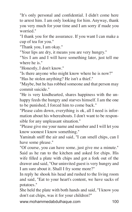"It's only personal and confidential. I didn't come here to arrest him. I am only looking for him. Anyway, thank you very much for your time and I am sorry if made you worried."

"I thank you for the assurance. If you want I can make a cup of tea for you."

"Thank you, I am okay."

"Your lips are dry, it means you are very hungry."

"Yes I am and I will have something later, just tell me where he is."

"Honestly, I don't know."

"Is there anyone who might know where he is now?"

"Has he stolen anything? He isn't a thief."

"Maybe, but he has robbed someone and that person may commit suicide."

"He is very kindhearted, shares happiness with the unhappy feeds the hungry and starves himself. I am the one to be punished, I forced him to come back."

"Please calm down, everything is ok, all I need is information about his whereabouts. I don't want to be responsible for any unpleasant situation."

"Please give me your name and number and I will let you know soonest I know something."

Yaminah sniff the air and said, "I can smell chips, can I have some please."

"Of course, you can have some, just give me a minute." Said as he ran to the kitchen and asked for chips. His wife filled a plate with chips and got a fork out of the drawer and said, "Our uninvited guest is very hungry and I am sure about it. Shall I fry some more?"

In reply he shook his head and rushed to the living room and said, "Eat to your heart's content, we have sacks of potatoes."

She held the plate with both hands and said, "I know you don't eat chips, was it for your children?"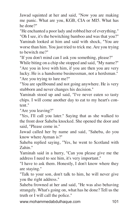Jawad squinted at her and said, "Now you are making me panic. What are you, KGB, CIA or MI5. What has he done?"

"He enchanted a poor lady and robbed her of everything." "Oh I see, it's the bewitching bamboo and was that you?" Yaminah looked at him and said with shock, "You are worse than him. You just tried to trick me. Are you trying to bewitch me?"

"If you don't mind can I ask you something, please?"

While biting on a chip she stopped and said, "My name?" "Are you in love with him, if you are then you are very lucky. He is a handsome businessman, not a herdsman." "Are you trying to lure me?"

"You are spellbound and not going anywhere. He is very stubborn and never changes his decision."

Yaminah stood up and said, "I've never eaten so tasty chips. I will come another day to eat to my heart's content."

"Are you leaving?"

"Yes, I'll call you later." Saying that as she walked to the front door Saheba knocked. She opened the door and said, "Please come in."

Jawad called her by name and said, "Saheba, do you know where Ayman is?"

Saheba replied saying, "Yes, he went to Scotland with Zahin."

Yaminah said in a hurry, "Can you please give me the address I need to see him, it's very important."

"I have to ask them. Honestly, I don't know where they are staying."

"Talk to your son, don't talk to him, he will never give you the right address."

Saheba frowned at her and said, "He was also behaving strangely. What's going on, what has he done? Tell us the truth or I will call the police."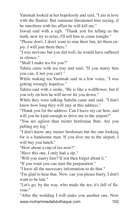Yaminah looked at her hopelessly and said, "I am in love with the flautist. But someone threatened him saying, if he interferes with his affair he will kill me."

Jawad said with a sigh. "Thank you for telling us the truth, now try to relax, I'll tell him to come tonight."

"Please don't. I don't want to ruin their fun, let them enjoy. I will join them there."

"I was nervous but you did well, he would have suffered in silence."

"Shall I make tea for you?"

Tahira came with tea tray and said, "If you marry him you can, if not you can't."

While making tea Yaminah said in a low voice, "I was getting wrongly hopeless."

Tahira said with a smile, "He is like a wallflower, but if you rely on him he will never let you down."

While they were talking Saheba came and said, "I don't know how long they will stay at this address."

"Thank you for the address. Can I leave my car here, and will you be kind enough to drive me to the airport?"

"You are ugliest than mister herdsman flute. Are you pulling my leg."

"I don't know any mister herdsman but the one looking for is a handsome man. If you dive me to the airport, I will buy you lunch."

"How about a cup of tea now?"

"Have this one, I only had a sip."

"Will you marry him? If not then forget about it."

"If you want you can start the preparation."

"I have all the necessary information to do that."

"I'm glad to hear that. Now, can you please hurry, I don't want to be late."

"Let's go, by the way, who made the tea, it's full of flavour."

www.mohammedabdulhaque.com 102 "After the wedding I will make you another one. Now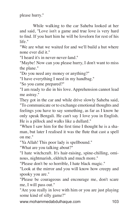please hurry."

While walking to the car Saheba looked at her and said, "Love isn't a game and true love is very hard to find. If you hurt him he will be lovelorn for rest of his life."

"We are what we waited for and we'll build a hut where none ever did it."

"I heard it's in never-never-land."

"Maybe! Now can you please hurry, I don't want to miss the plane."

"Do you need any money or anything?"

"I have everything I need in my handbag."

"So you came prepared?"

"I am ready to die in his love. Apprehension cannot lead me astray."

They got in the car and while drive slowly Saheba said, "To communicate or to exchange emotional thoughts and feelings you have to say something, as far as I know he only speak Bengali. He can't say I love you in English. He is a pillock and walks like a dullard."

"When I saw him for the first time I thought he is a shaman, but later I realised it was the flute that cast a spell on me."

"Ya Allah! This poor lady is spellbound."

"What are you talking about?"

"I hate witchcraft. It's hair-raising, spine-chilling, ominous, nightmarish, eldritch and much more."

"Please don't be so horrible, I hate black magic."

"Look at the mirror and you will know how creepy and spooky you are."

"Please be courageous and encourage me, don't scare me, I will pass out."

"Are you really in love with him or you are just playing some kind of silly game?"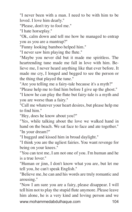"I never been with a man. I need to be with him to be loved. I love him dearly."

"Please, don't try to fool me."

"I hate horseplay."

"Ok, calm down and tell me how he managed to entrap you as you are a mantrap?"

"Funny looking bamboo helped him."

"I never saw him playing the flute."

"Maybe you never did but it made me spiritless. The heartrending tune made me fall in love with him. Believe me, I never heard anything like that ever before. It made me cry, I longed and begged to see the person or the thing that played the tune."

"Are you telling me a fairy-tale because it's a myth?"

"Please help me to find him before I give up the ghost."

"I know he can play the flute but fairy-tale is a myth and you are worse than a fairy."

"Call me whatever your heart desires, but please help me to find him."

"Hey, does he know about you?"

"Yes, while talking about the love we walked hand in hand on the beach. We sat face to face and ate together." "In your dream?"

"I hugged and kissed him in broad daylight."

"I think you are the ugliest fairies. You want revenge for being on your knees."

"You can test me, I am not one of you. I'm human and he is a true lover."

"Human or jinn, I don't know what you are, but let me tell you, he can't speak English."

"Believe me, he can and his words are truly romantic and arousing."

www.mohammedabdulhaque.com 104 "Now I am sure you are a fairy, please disappear. I will tell him not to play the stupid flute anymore. Please leave him alone, he is a very kind and loving person and we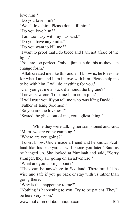love him."

"Do you love him?"

"We all love him. Please don't kill him."

"Do you love him?"

"I am too busy with my husband."

"Do you have any knife?"

"Do you want to kill me?"

"I want to proof that I do bleed and I am not afraid of the light."

"You are too perfect. Only a jinn can do this as they can change form."

"Allah created me like this and all I know is, he loves me for what I am and I am in love with him. Please help me to be with him, I will do anything for you."

"Can you get me a black diamond, the big one?"

"I never saw one. Trust me I am not a jinn."

"I will trust you if you tell me who was King David."

"Father of King Solomon."

"So you are the loveliest?"

"Scared the ghost out of me, you ugliest thing."

While they were talking her son phoned and said, "Mum, we are going camping."

"Where are you going?"

"I don't know. Uncle made a friend and he knows Scotland like his backyard. I will phone you later." Said as he hanged up. She looked at Yaminah and said, "Sorry stranger, they are going on an adventure."

"What are you talking about?"

"They can be anywhere in Scotland. Therefore it'll be wise and safe if you go back or stay with us rather than going there."

"Why is this happening to me?"

"Nothing is happening to you. Try to be patient. They'll be here very soon."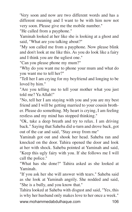'Very soon and now are two different words and has a different meaning and I want to be with him now not very soon. Please give me the mobile number."

"He called from a payphone."

Yaminah looked at her like she is looking at a ghost and said, "What are you talking about?"

"My son called me from a payphone. Now please blink and don't look at me like this. As you do look like a fairy and I think you are the ugliest one."

"Can you please phone my mum?"

"Why do you want me to phone your mum and what do you want me to tell her?"

"Tell her I am crying for my boyfriend and longing to be loved by him."

"Are you telling me to tell your mother what you just told me? Ya Allah!"

"No, tell her I am staying with you and you are my best friend and I will be getting married to your cousin brother. Please do something. My heart is crying, I am feeling restless and my mind has stopped thinking."

"Ok, take a deep breath and try to relax. I am driving back." Saying that Saheba did u-turn and drove back, got out of the car and said, "Stay away from me"

Yaminah got out and shook her head. Saheba ran and knocked on the door. Tahira opened the door and look at her with shock. Saheba pointed at Yaminah and said, "Keep this ugly fairy with you. If she follows me I will call the police."

"What has she done?" Tahira asked as she looked at Yaminah.

"If you ask her she will answer with tears." Saheba said as she look at Yaminah angrily. She nodded and said, "She is a bully, and you know that."

www.mohammedabdulhaque.com 106 Tahira looked at Saheba with disgust and said, "Yes, this is why her husband only makes love to her once a week."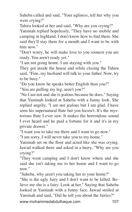Saheba called and said, "Your ugliness, tell her why you were crying?"

Tahira looked at her and said, "Why are you crying?"

Yaminah replied hopelessly, "They have no mobile and camping in highland. I don't know how to find them. She said they'll stay there for a month and I want to be with him now."

"Don't worry, he will make love to you soonest you are ready. You aren't ready yet."

"I am not going home. I am staying with you."

They got inside the house and while closing the Tahira said, "Fine, my husband will talk to your father. Now, try to be busy."

"Do you know he speaks better English than you?" "You are pulling my leg, aren't you?"

"No I am not and she is jealous because he does." Saying that Yaminah looked at Saheba with a funny look. She replied angrily, "I am not jealous but I am glad. I have seen his supernatural flute but you haven't. It's the mysterious flute I ever saw. It makes the horrendous sound I ever heard and he paid a fortune for it and it's in my private drawer."

"I want you to take me there and I want to go now."

"I am sorry, I will never take you to my home."

Yaminah set on the floor and acted like she was crying. Jawad walked there and asked in a hurry, "Why are you crying?"

"They went camping and I don't know where and she said she isn't taking me to her home and I want to go now"

"Saheba, why aren't you taking her to your home?"

"She is the ugly fairy and I don't want to be killed. Believe me she is a fairy. Look at her." Saying that Saheba looked at Yaminah with a funny face. Jawad smiled at Yaminah and said, "Did he tell you about the fairies?"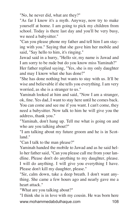"No, he never did, what are they?"

"As far I know it's a myth. Anyway, now try to make yourself at home. I am going to pick my children from school. Today is there last day and you'll be very busy, we need a babysitter."

"Can you please phone my father and tell him I am staying with you." Saying that she gave him her mobile and said, "Say hello to him, it's ringing."

Jawad said in a hurry, "Hello sir, my name is Jawad and I am sorry to be rude but do you know miss Yaminah?"

Her father replied saying, "Yes, she is my only daughter and may I know what she has done?"

"She has done nothing but wants to stay with us. It'll be wise and believable if she tells you everything. I am very worried, as she is a stranger to us."

Yaminah looked at him and said, "Now I am a stranger, ok, fine. Yes dad, I want to stay here until he comes back. You can come and see me if you want. I can't come, they need a babysitter. Now talk to him he will give you the address, thank you."

"Yaminah, don't hang up. Tell me what is going on and who are you talking about?"

"I am talking about my future groom and he is in Scotland."

"Can I talk to the man please?"

Yaminah handed the mobile to Jawad and as he said hello her father said, "Can you please call me from your landline. Please don't do anything to my daughter, please. I will do anything. I will give you everything I have. Please don't kill my daughter, please."

"Sir, calm down, take a deep breath. I don't want anything. She came a few hours ago and nearly gave me a heart attack."

"What are you talking about?"

www.mohammedabdulhaque.com 108 "I think she is in love with my cousin. He was born here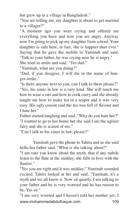but grew up in a village in Bangladesh."

"You are telling me, my daughter is about to get married to a villager?"

"A moment ago you were crying and offered me everything you have and now you are angry. Anyway now I'm going to pick up my daughter from school. Your daughter is safe here, in fact, she is happier than ever." Saying that he gave the mobile to Yaminah and said, "Talk to your father, he was crying now he is angry."

She tried to smile and said, "Yes dad."

"Yaminah, what are you doing?"

"Dad, if you disagree, I will die in the name of hunger-strike."

"Is there anyone next to you, can I talk to them please?" "Yes, his sister in law is a very kind. She will teach me how to wear a sari and how to cook curry and she already taught me how to make tea in a teapot and it was very easy. His ugly cousin said the tea was full of flavour and I hate her."

Father started laughing and said, "Why do you hate her?" "I wanted to go to her home but she said I am the ugliest fairy and she is scared of me."

"Can I talk to his sister in law, please?"

Yaminah gave the phone to Tahira and as she said hello her father said, "What is she talking about?"

"I am sure you know about the myth, that if any nubile listen to the flute at the midday, she falls in love with the flautist."

"Yes you are right and it was midday." Yaminah sounded excited. Tahira looked at her and said, "Yaminah, it's a myth and we all know it. Now sit quietly. I am talking to your father and he is very worried and he has reason to be. Yes sir."

www.mohammedabdulhaque.com 109 "I am very worried and I haven't told her mother yet. I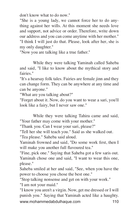don't know what to do now."

"She is a young lady, we cannot force her to do anything against her wills. At this moment she needs love and support, not advice or order. Therefore, write down our address and you can come anytime with her mother." "I think I will just do that. Please, look after her, she is my only daughter."

"Now you are talking like a true father."

While they were talking Yaminah called Saheba and said, "I like to know about the mythical story and fairies."

"It's a hearsay folk tales. Fairies are female jinn and they can change form. They can be anywhere at any time and can be anyone."

"What are you talking about?"

"Forget about it. Now, do you want to wear a sari, you'll look like a fairy, but I never saw one."

While they were talking Tahira came and said, "Your father may come with your mother."

"Thank you. Can I wear your sari, please?"

"Tell her she will teach you." Said as she walked out.

"Tea please." Saheba said aloud.

Yaminah frowned and said, "Do some work first, then I will make you another full flavoured tea."

"Fine, pick one." Saying that Saheba got a few saris out. Yaminah chose one and said, "I want to wear this one, please."

Saheba smiled at her and said, "See, when you have the power to choose you chose the best one."

"Stop talking nonsense and get on with your work."

"I am not your maid."

www.mohammedabdulhaque.com 110 "I know you aren't a virgin. Now, get me dressed or I will punish you." Saying that Yaminah acted like a haughty.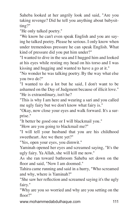Saheba looked at her angrily look and said, "Are you taking revenge? Did he tell you anything about babysitting?"

"He only talked poetry."

"We know he can't even speak English and you are saying he talked poetry. Please be serious. I only know when under tremendous pressure he can speak English. What kind of pressure did you put him under?"

"I wanted to dive in the sea and I hugged him and looked at his eyes while resting my head on his torso and I was kissing and hugging and wanted to have a go at it."

"No wonder he was talking poetry. By the way what else you two do?"

"I wanted to do a lot but he said, I don't want to be ashamed on the Day of Judgment because of illicit love." "He is extraordinary, isn't he?

"This is why I am here and wearing a sari and you called me ugly fairy but we don't know what fairy is."

"Okay, now close your eyes and walk forward. It's a surprise."

"It better be good one or I will blackmail you."

"How are you going to blackmail me?"

"I will tell your husband that you are his childhood sweetheart. Are we there yet?"

"Yes, open your eyes, you dimwit."

Yaminah opened her eyes and screamed saying, "It's the ugly fairy. Ya Allah, she will kill me now."

As she ran toward bathroom Saheba set down on the floor and said, "Now I am doomed."

Tahira came running and said in a hurry, "Who screamed and why, where is Yaminah?"

"She saw her reflection and screamed saying it's the ugly fairy."

"Why are you so worried and why are you setting on the floor?"

www.mohammedabdulhaque.com 111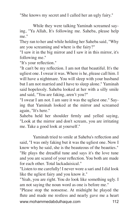"She knows my secret and I called her an ugly fairy."

While they were talking Yaminah screamed saying, "Ya Allah, It's following me. Saheba, please help me."

They ran to her and while holding her Saheba said, "Why are you screaming and where is the fairy?"

"I saw it in the big mirror and I saw it in this mirror, it's following me."

"It's your reflection."

"It can't be my reflection. I am not that beautiful. It's the ugliest one. I swear it was. Where is he, please call him. I will have a nightmare. You will sleep with your husband but I am not married and I have to sleep alone." Yaminah said hopelessly. Saheba looked at her with a silly smile and said, "You are faking, aren't you?"

"I swear I am not. I am sure it was the ugliest one." Saying that Yaminah looked at the mirror and screamed again, "It's here."

Saheba held her shoulder firmly and yelled saying, "Look at the mirror and don't scream, you are irritating me. Take a good look at yourself."

Yaminah tried to smile at Saheba's reflection and said, "I was only faking but it was the ugliest one. Now I know why he said, she is the beauteous of the beauties." "He plays the dreadful tune and says it's the love tune and you are scared of your reflection. You both are made for each other. Total lackadaisical."

"Listen to me carefully! I never wore a sari and I did look like the ugliest fairy and you know it."

"Yeah, you are right. You do look like something ugly. I am not saying the noun word as one is before me."

www.mohammedabdulhaque.com 112 "Please stop the nonsense. At midnight he played the flute and made me restless and nearly gave me a heart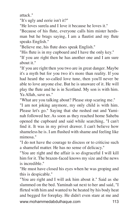attack."

"It's ugly and eerie isn't it?"

"He loves surela and I love it because he loves it."

"Because of his flute, everyone calls him mister herdsman but he brags saying, I am a flautist and my flute speaks English."

"Believe me, his flute does speak English."

"His flute is in my cupboard and I have the only key."

"If you are right then he has another one and I am sure about it."

"If you are right then you two are in great danger. Maybe it's a myth but for you two it's more than reality. If you had heard the so-called love tune, then you'll never be able to love anyone else. But he is unaware of it. He will play the flute and he is in Scotland. My son is with him. Ya Allah, save us."

"What are you talking about? Please stop scaring me."

"I am not joking anymore, my only child is with him. Please let's go." Saying that she rushed out and Yaminah followed her. As soon as they reached home Saheba opened the cupboard and said while searching, "I can't find it. It was in my privet drawer. I can't believe how shameless he is. I am flushed with shame and feeling like mimosa."

"I do not have the courage to discuss or to criticise such a shameful matter. He has no sense of delicacy."

"You are right and the affair is so disgraceful I will kill him for it. The brazen-faced knows my size and the news is incredible."

"He must have closed his eyes when he was groping and this is despicable."

www.mohammedabdulhaque.com 113 "You are right and I will ask him about it." Said as she slammed on the bed. Yaminah sat next to her and said, "I flirted with him and wanted to be heated by his body heat and begged for foreplay. He didn't even stare at me and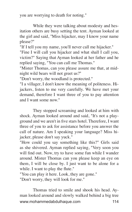you are worrying to death for noting."

While they were talking about modesty and hesitation others are busy setting the tent. Ayman looked at the girl and said, "Miss hijacker, may I know your name please?"

"If I tell you my name, you'll never call me hijacker."

"Fine I will call you hijacker and what shall I call you, victim?" Saying that Ayman looked at her father and he replied saying, "You can call me Thomas."

"Mister Thomas, can you please assure me that, at midnight wild bears will not greet us?"

"Don't worry, the woodland is protected."

"I a villager, I don't know the meaning of politeness. Hijackers, listen to me very carefully. We have met your demand, therefore I want three of you to pay attention and I want some now."

They stopped screaming and looked at him with shock. Ayman looked around and said, "It's not a playground and we aren't in five stars hotel. Therefore, I want three of you to ask for assistance before you answer the call of nature. Am I speaking your language? Miss hijacker, please don't say yuck."

"How could you say something like this?" Girls said as she shivered. Ayman replied saying, "Very soon you will find out. Now, try to have some fun while I wander around. Mister Thomas can you please keep an eye on them, I will be close by. I just want to be alone for a while. I want to play the flute."

"You can play it here. Look, they are gone." "Don't worry, they will look for me."

www.mohammedabdulhaque.com 114 Thomas tried to smile and shook his head. Ayman looked around and slowly walked behind a big tree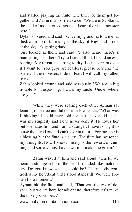and started playing the flute. The three of them get together and Zahin in a worried voice, "We are in Scotland, the land of monstrous dragons. I heard there's a monster here."

Dylan shivered and said, "Once my grandma told me, at dusk a group of fairies fly in the sky of Highland. Look at the sky, it's getting dark."

Girl looked at them and said, "I also heard there's a man-eating bear here. Try to listen, I think I heard an evil roaring. My throat is starting to dry, I can't scream even if I want to. You guys are fearless, please roar like the roarer, if the monsters hide in fear, I will call my father to rescue us."

Zahin looked around and said nervously, "We are in big trouble for trespassing. I want my uncle. Uncle, where are you?"

While they were scaring each other Ayman sat leaning on a tree and talked in a low voice, "What was I thinking? I could have told her, but I never did and it was my stupidity and I can never deny it. He loves her but she hates him and I am a stranger. I have no right to curse the loved one if I can't love in return. For me, she is a blessing but the flute is a curse. The flute has poisoned my thoughts. Now I know, misery is the reword of cunning and sorrow must have sworn to make me groan."

Zahin waved at him and said aloud, "Uncle, we heard a strange echo in the air, it sounded like melodic cry. Do you know what it could be? The melody controlled my heartbeat and I stood standstill. We were frozen for a moment."

Ayman hid the flute and said, "That was the cry of despair but we are here for adventure, therefore let's make the misery disappear."

www.mohammedabdulhaque.com 115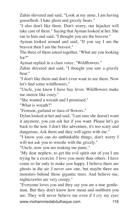Zahin shivered and said, "Look at my arms, I am having gooseflesh. I hate ghost and grizzly bears."

"I also don't like them. Don't worry, our hijacker will take care of them." Saying that Ayman looked at her. She ran to him and said, "I thought you are the bravest."

Ayman looked around and said, "If you say I am the bravest then I am the bravest."

The three of them asked together, "What are you looking for?"

Ayman replied in a clam voice, "Wildflowers."

Zahin shivered and said, "I thought you saw a grizzly bear."

"I don't like them and don't even want to see them. Now let's find some wildflowers."

"Uncle, you know I have hay fever. Wildflowers make me sneeze like crazy."

"She wanted a wreath and I promised."

"What is wreath?"

"Festoon, garland or tiara of flowers."

Dylan looked at her and said, "I am sure she doesn't want it anymore, you can ask her if you want. Please let's go back to the tent. I don't like adventure, it's too scary and dangerous. Ask them and they will agree with me."

"I know you can do unthinkable things, don't worry I will not ask you to wrestle with the grizzly."

"Uncle, now you are making me panic."

"My dear nephew, to get the evil spirit out of you I am trying be a exorcist. I love you more than others. I have come so far only to make you happy. I believe there are ghosts in the air. I never saw one, but maybe there are monsters behind those gigantic trees. And believe me, nightcrawler are very creepy."

www.mohammedabdulhaque.com 116 "Everyone loves you and they say you are a true gentleman. But they don't know how mean and stubborn you are. They will never believe me even if I cry my eyes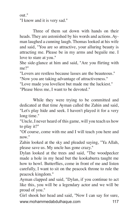out." "I know and it is very sad."

Three of them sat down with hands on their heads. They are astonished by his words and actions. Ayman laughed a cunning laugh. Thomas looked at his wife and said, "You are so attractive, your alluring beauty is attracting me. Please be in my arms and beguile me. I love to stare at you."

She side-glance at him and said, "Are you flirting with me?"

"Lovers are restless because lasses are the beauteous."

"Now you are taking advantage of attractiveness."

"Love made you loveliest but made me the luckiest." "Please bless me, I want to be devoted."

While they were trying to be committed and dedicated at that time Ayman called the Zahin and said, "Let's play hide and seek. I haven't played it for a very long time."

"Uncle, I never heard of this game, will you teach us how to play it?"

"Of course, come with me and I will teach you here and now."

Zahin looked at the sky and pleaded saying, "Ya Allah, please save us. My uncle has gone crazy."

Dylan looked at the trees and said, "The woodpecker made a hole in my head but the kookaburra taught me how to howl. Butterflies, come in front of me and listen carefully, I want to sit on the peacock throne to rule the peacock kingdom."

Ayman clapped and said, "Dylan, if you continue to act like this, you will be a legendary actor and we will be proud of you."

www.mohammedabdulhaque.com 117 Girl shook her head and said, "Now I can say for sure,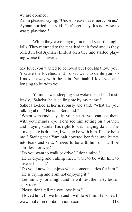we are doomed."

Zahin pleaded saying, "Uncle, please have mercy on us." Ayman hurried and said, "Let's get busy, It's not wise to waste playtime."

While they were playing hide and seek the night falls. They returned to the tent, had their food and as they rolled in bed Ayman climbed on a tree and started playing worse than ever…

My love, you wanted to be loved but I couldn't love you. You are the loveliest and I don't want to defile you, so I moved away with the pain. Yaminah, I love you and longing to be with you.

Yaminah was sleeping she woke up and said restlessly, "Saheba, he is calling me by my name."

Saheba looked at her nervously and said, "What are you talking about? He is in Scotland."

"When someone stays in your heart, you can see them with your mind's eye. I can see him setting on a branch and playing surela. His right foot is hanging down. The atmosphere is dreamy, I want to be with him. Please help me." Saying that Yaminah covered her face and bursts into tears and said, "I need to be with him or I will be spiritless forever."

"Do you want to walk or drive? I don't mind."

"He is crying and calling me. I want to be with him to answer his call."

"Do you know, he enjoys when someone cries for him." "He is crying and I am not enjoying it."

"Let him cry for a night and he will test the nasty test of salty tears."

"Please don't tell me you love him."

www.mohammedabdulhaque.com 118 "I loved him, I love him and I will love him. He is heart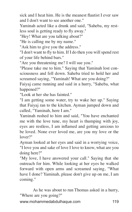sick and I heat him. He is the meanest flautist I ever saw and I don't want to see another one."

Yaminah acted like a drunk and said, "Saheba, my restless soul is getting ready to fly away."

"Hey! What are you talking about?"

"He is calling me by my name."

"Ask him to give you the address."

"I don't want to fly to him. If I do then you will spend rest of your life behind bars."

"Are you threatening me? I will sue you."

"Please take me to him." Saying that Yaminah lost consciousness and fell down. Saheba tried to hold her and screamed saying, "Yaminah! What are you doing?"

Faiyaj came running and said in a hurry, "Saheba, what happened?"

"Look at her she has fainted."

"I am getting some water, try to wake her up." Saying that Faiyaj ran to the kitchen. Ayman jumped down and called, "Yaminah, here I am."

Yaminah rushed to him and said, "You have enchanted me with the love tune, my heart is thumping with joy, eyes are restless, I am inflamed and getting anxious to be loved. None ever loved me, are you my love or the lover?"

Ayman looked at her eyes and said in a worrying voice, "I love you and sake of love I love to know, what are you doing here?"

"My love, I have answered your call." Saying that she outreach for him. While looking at her eyes he walked forward with open arms and screamed saying, "What have I done? Yaminah, please don't give up on me, I am coming."

As he was about to run Thomas asked in a hurry, "Where are you going?"

www.mohammedabdulhaque.com 119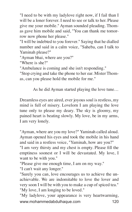"I need to be with my ladylove right now, if I fail than I will be a loner forever. I need to see or talk to her. Please give me your mobile." Ayman sounded pleading. Thomas gave him mobile and said, "You can thank me tomorrow now phone her please."

"I will be indebted to you forever." Saying that he dialled number and said in a calm voice, "Saheba, can I talk to Yaminah please?"

"Ayman bhai, where are you?"

"Where is she?"

"Ambulance is coming and she isn't responding."

"Stop crying and take the phone to her ear. Mister Thomas, can you please hold the mobile for me."

As he did Ayman started playing the love tune…

Dreamless eyes are aired, ever joyous soul is restless, my mind is full of misery. Lovelorn I am playing the love tune only to please my deary. The sky is gloomy, my pained heart is beating slowly. My love, be in my arms, I am very lonely.

"Ayman, where are you my love?" Yaminah called aloud. Ayman opened his eyes and took the mobile in his hand and said in a restless voice, "Yaminah, how are you?"

"I am very thirsty and my chest is empty. Please fill the emptiness soonest or I will be devastated. My love, I want to be with you."

"Please give me enough time, I am on my way."

"I can't wait any longer."

"Surely you can, love encourages us to achieve the unachievable. We are indomitable to love the lover and very soon I will be with you to make a cup of spiced tea." "My love, I am longing to be loved."

www.mohammedabdulhaque.com 120 "My ladylove, your appearance is very heartwarming,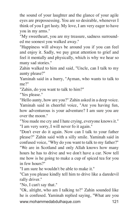the sound of your laughter and the glance of your agile eyes are prepossessing. You are so desirable, whenever I think of you I get lusty. My love, I am very eager to have you in my arms."

"My sweetheart, you are my treasure, sadness surrounded me soonest you walked away."

"Happiness will always be around you if you can feel and enjoy it. Sadly, we pay great attention to grief and feel it mentally and physically, which is why we hear so many sad stories."

Zahin walked to him and said, "Uncle, can I talk to my aunty please?"

Yaminah said in a hurry, "Ayman, who wants to talk to me?"

"Zahin, do you want to talk to him?"

"Yes please."

"Hello aunty, how are you?" Zahin asked in a deep voice. Yaminah said in cheerful voice, "Are you having fun, how adventurous is your adventure? I am sure you are over the moon."

"You made me cry and I hate crying, everyone knows it." "I am very sorry, I will never fo it again."

"Don't ever do it again. Now can I talk to your father please?" Zahin said with a silly smile. Yaminah said in confused voice, "Why do you want to talk to my father?" "We are in Scotland and only Allah knows how many hours he has to drive and we don't have a car. Now tell me how is he going to make a cup of spiced tea for you in few hours?"

"I am sure he wouldn't be able to make it."

"Can you please kindly tell him to drive like a daredevil rally driver."

"No, I can't say that."

www.mohammedabdulhaque.com 121 "Ok, alright, who am I talking to?" Zahin sounded like he is confused. Yaminah replied saying, "What are you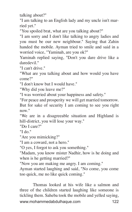talking about?"

"I am talking to an English lady and my uncle isn't married yet."

"You spoiled brat, what are you talking about?"

"I am sorry and I don't like talking to angry ladies and you must be our new neighbour." Saying that Zahin handed the mobile. Ayman tried to smile and said in a worried voice, "Yaminah, are you ok?"

Yaminah replied saying, "Don't you dare drive like a daredevil<sup>"</sup>

"I can't drive."

"What are you talking about and how would you have come?"

"I don't know but I would have."

"Why did you leave me?"

"I was worried about your happiness and safety."

"For peace and prosperity we will get married tomorrow. But for sake of security I am coming to see you right now."

"We are in a disagreeable situation and Highland is hill-district, you will lose your way."

"Do I care?"

"I do."

"Are you mimicking?"

"I am a coward, not a hero."

"O yes, I forgot to ask you something."

"Madam, you know mister Nadhir, how is he doing and when is he getting married?"

"Now you are making me angry. I am coming."

Ayman started laughing and said, "No come, you come too quick, me no like quick coming."

www.mohammedabdulhaque.com 122 Thomas looked at his wife like a salmon and three of the children started laughing like someone is tickling them. Saheba took the mobile and yelled saying,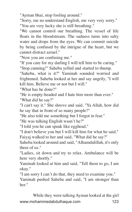"Ayman bhai, stop fooling around."

"Sorry, me no understand English, me very very sorry." "You are very lucky she is still breathing."

"We cannot control our breathing. The vessel of life floats in the bloodstream. The sadness turns into salty water and drops from the eyes. We can commit suicide by being confused by the intrigue of the heart, but we cannot distract azrael."

"Now you are confusing me."

"If you care for my darling I will tell him to be caring." "Stop cunning!" Saheba yelled and started to thump.

"Saheba, what is it?" Yaminah sounded worried and frightened. Saheba looked at her and say angrily, "I will kill him. Believe me or not but I will."

"What has he done?"

"He is empty-headed and I hate him more than ever." "What did he say?"

"I can't say it." She shrove and said, "Ya Allah, how did he say that in front of so many people?"

"He also told me something but I forgot in fear."

"He was talking English wasn't he?"

"I told you he can speak like egghead."

"I don't believe you but I will kill him for what he said." Faiyaj walked to her and said, "What did he say?"

Saheba looked around and said, "Alhamdulillah, it's only three of us."

"Ladies, sit down and try to relax. Ambulance will be here very shortly."

Yaminah looked at him and said, "Tell them to go, I am okay."

"I am sorry I can't do that, they need to examine you."

Yaminah pushed Saheba and said, "I am stronger than her."

www.mohammedabdulhaque.com 123 While they were talking Ayman looked at the girl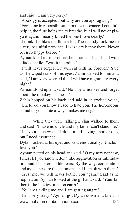and said, "I am very sorry."

"Apology is accepted, but why are you apologising? " "For being irresponsible and for the annoyance. I couldn't help it, the flute helps me to breathe, but I will never playa it again. I nearly killed the one I love dearly."

"I think she likes the flute a lot. The melody took me to a very beautiful province. I was very happy there. Never been so happy before."

Ayman knelt in front of her, held her hands and said with a faded smile, "Was it melodic?"

"I will never forget it, it will sat with me forever." Said as she wiped tears off his eyes. Zahin walked to him and said, "I am very worried that I will have nightmare every night."

Ayman stood up and said, "Now be a monkey and forget about the monkey business."

Zahin hopped on his back and said in an excited voice, "Uncle, do you know I used to hate you. The horrendous sound of your flute always makes me cry."

While they were talking Dylan walked to them and said, "I have no uncle and my father can't stand me." "I have a nephew and I don't mind having another one, but I need assurance."

Dylan looked at his eyes and said emotionally, "Uncle, I love you."

Ayman patted on his head and said, "O my new nephew, I must let you know, I don't like aggravation or intimidation and I hate crocodile tears. By the way, cooperation and assistance are the antonyms and I am ok with them." "Trust me, we will never bother you again." Said as he hopped on. Ayman looked at the girl and said, "Your father is the luckiest man on earth."

"You are tickling me and I am getting angry."

www.mohammedabdulhaque.com 124 "I am very sorry." Ayman got Dylan down and knelt in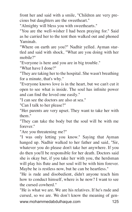front her and said with a smile, "Children are very precious but daughters are the sweetheart."

"Almighty will bless you with sweethearts."

"You are the well-wisher I had been praying for." Said as he carried her to the tent then walked out and phoned Yaminah.

"Where on earth are you?" Nadhir yelled. Ayman startled and said with shock, "What are you doing with her mobile?"

"Everyone is here and you are in big trouble."

"What have I done?"

"They are taking her to the hospital. She wasn't breathing for a minute, that's why."

"Everyone knows love is in the heart, but we can't cut it open to see what is inside. The soul has infinite power and can find the loved one easily."

"I can see the doctors are also at sea."

"Can I talk to her please?"

"Her parents are very upset. They want to take her with them."

"They can take the body but the soul will be with me forever."

"Are you threatening me?"

"I was only letting you know." Saying that Ayman hanged up. Nadhir walked to her father and said, "Sir, whatever you do please don't take her anywhere. If you do then you'll be responsible for her death. Doctors said she is okay but, if you take her with you, the herdsman will play his flute and her soul will be with him forever. Maybe he is restless now, but he can be heartless."

"He is rude and disobedient, didn't anyone teach him how to conduct himself, where is he now? I want to see the cursed cowherd."

www.mohammedabdulhaque.com 125 "He is what we are. We are his relatives. If he's rude and cursed, so we are. We don't know the meaning of gen-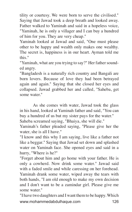tility or courtesy. We were born to serve the civilised." Saying that Jawad took a deep breath and looked away. Father walked to Yaminah and said in a hopeless voice, "Yaminah, he is only a villager and I can buy a hundred of him for you. They are very cheap."

Yaminah looked at Jawad and said, "One must please other to be happy and wealth only makes one wealthy. The secret is, happiness is in our heart. Ayman told me this."

"Yaminah, what are you trying to say?" Her father sounded angry.

"Bangladesh is a naturally rich country and Bangali are born lovers. Because of love they had been betrayed again and again." Saying that she closed her eyes and collapsed. Jawad grabbed her and called, "Saheba, get some water."

As she comes with water, Jawad took the glass in his hand, looked at Yaminah father and said, "You can buy a hundred of us but my sister pays for the water."

Saheba screamed saying, "Bhaiya, she will die."

Yaminah's father pleaded saying, "Please give her the water, she is all I have."

"I know and this why I am saying, live like a father not like a beggar." Saying that Jawad set down and splashed water on Yaminah face. She opened eyes and said in a hurry, "Where is he?"

"Forget about him and go home with your father. He is only a cowherd. Now drink some water." Jawad said with a faded smile and while caressing on her forehead. Yaminah drank some water, wiped away the tears with both hands, "I am old enough to make my own decision and I don't want to be a zamindar girl. Please give me some water."

www.mohammedabdulhaque.com 126 "I have two daughters and I want them to be happy. Which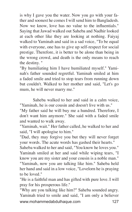is why I gave you the water. Now you go with your father and soonest he comes I will send him to Bangladesh. Now we know, love has no value to the influentials." Saying that Jawad walked out Saheba and Nadhir looked at each other like they are looking at nothing. Faiyaj walked to Yaminah and said in a sad voice, "To be equal with everyone, one has to give up self-respect for social prestige. Therefore, it is better to be alone than being in the wrong crowd, and death is the only means to reach the destiny. "

"By humiliating him I have humiliated myself." Yaminah's father sounded regretful. Yaminah smiled at him a faded smile and tried to stop tears from running down but couldn't. Walked to her mother and said, "Let's go mum, he will never marry me."

Saheba walked to her and said in a calm voice, "Yaminah, he is our cousin and doesn't live with us."

"My father said he will buy me a hundred. Therefore, I don't want him anymore." She said with a faded smile and wanted to walk away.

"Yaminah, wait." Her father called, he walked to her and said, "I will apologise to him."

"Dad, they may forgive you but they will never forget your words. The acute words has gashed their hearts."

Saheba walked to her and said, "You know he loves you." Yaminah smiled at her and said while wiping tears, "I know you are my sister and your cousin is a noble man." "Yaminah, now you are talking like him." Saheba held her hand and said in a low voice, "Lovelorn he is praying to be loved."

"He is a faithful man and has gifted with pure love. I will pray for his prosperous life."

www.mohammedabdulhaque.com 127 "Why are you talking like him?" Saheba sounded angry. Yaminah tried to smile and said, "I am only a believer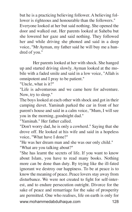but he is a practicing believing follower. A believing follower is righteous and honourable than the followers." Everyone looked at her but said nothing. She opened the door and walked out. Her parents looked at Saheba but she lowered her gaze and said nothing. They followed her and while driving she phoned and said in a deep voice, "Mr Ayman, my father said he will buy me a hundred of you."

Her parents looked at her with shock. She hanged up and started driving slowly. Ayman looked at the mobile with a faded smile and said in a low voice, "Allah is omnipotent and I pray to be patient."

"Uncle, what is it?"

"Life is adventurous and we came here for adventure. Now, try to sleep."

The boys looked at each other with shock and got in their camping duvet. Yaminah parked the car in front of her parent's house and said in a calm voice, "Mum, I will see you in the morning, goodnight dad."

"Yaminah." Her father called.

"Don't worry dad, he is only a cowherd." Saying that she drove off. He looked at his wife and said in a hopeless voice, "What have I done?"

"He was her dream man and she was our only child."

"What are you talking about?"

www.mohammedabdulhaque.com 128 "She has learnt the secrets of life. If you want to know about Islam, you have to read many books. Nothing more can be done than duty. By trying like the ill-fated ignorant we destroy our happiness. To be at peace is to know the meaning of peace. Peace lovers stay away from disturbance. We were not created to fight for self-interest, and to endure persecution outright. Divorce for the sake of peace and remarriage for the sake of prosperity are permitted. One who realises, life on earth is only for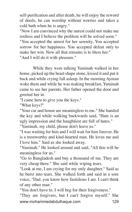self-purification and after death, he will enjoy the reword of deeds, he can worship without worries and takes a cold bath when he is angry."

"Now I am convinced why the unrest could not make me restless and I believe the problem will be solved soon." "You accepted the unrest for her serenity. You accepted sorrow for her happiness. You accepted defeat only to make her win. Now all that remains is to bless her." "And I will do it with pleasure."

While they were talking Yaminah walked in her home, picked up the heart shape stone, kissed it and put it back and while crying fall asleep. In the morning Ayman woke them and while he was making breakfast, Yaminah came to see her parents. Her father opened the door and greeted her in.

"I came here to give you the keys."

"What keys?"

"Your car and house are meaningless to me." She handed the key and while walking backwards said, "Hate is an ugly impression and the haughtiest are full of hates."

"Yaminah, my child, please don't leave us."

"I was waiting for him and I will wait for him forever. He is a trustworthy and kind-hearted man. He loves me and I love him." Said as she looked away.

"Yaminah." He looked around and said, "All this will be meaningless for us."

"Go to Bangladesh and buy a thousand of me. They are very cheap there." She said while wiping tears.

"Look at me, I am crying for my only daughter." Said as he burst into tears. She walked forth and said in a sore voice, "Dad, you know how fastidious I am. I can't think of any other man."

"You don't have to. I will beg for their forgiveness."

www.mohammedabdulhaque.com 129 "They are forgivers, but I can't forgive myself." She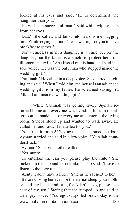looked at his eyes and said, "He is determined and haughtier than you."

"He will be a successful man." Said while wiping tears from her eyes.

"Dad." She called and burst into tears while hugging him. While crying he said, "I was waiting for you to have breakfast together."

"For a childless man, a daughter is a child but for the daughter, but the father is a shield to protect her from ill omen and evils." She kissed on his hand and said in a sore voice, "He was the only man who stepped inside the wedding gift."

"Yaminah." He called in a deep voice. She started laughing and said, "When I told him, the house is an advanced wedding gift from my father. He screamed saying, Ya Allah, I am inside a wedding gift."

While Yaminah was getting lively, Ayman returned home and everyone was avoiding him. In the afternoon he made tea for everyone and entered the living room. Saheba stood up and wanted to walk away. He called her and said, "I made tea for you."

"You drink it for me!" Saying that she slammed the door. Ayman startled and said in a low voice, "Ya Allah, thunderstruck."

"Ayman." Saheba's mother called.

"Yes, aunty."

"To entertain me can you please play the flute." She picked up the cup and before taking a sip said, "I love to listen to the love tune."

"Aunty, I don't have a flute." Said as he sat next to her.

www.mohammedabdulhaque.com 130 "Before closing her eyes for the eternal sleep, your mother held my hands and said, for Allah's sake, please take care of my son." Saying that she jumped up and said in an angry voice, "You egotist spoiled brat, today is the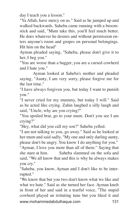day I teach you a lesson."

"Ya Allah, have mercy on us." Said as he jumped up and walked backwards. Saheba came running with a broomstick and said, "Mum take this, you'll feel much better. He does whatever he desires and without permission enters anyone's room and gropes on personal belongings. Hit him on the head"

Ayman pleaded saying, "Saheba, please don't give it to her, I beg you."

"You are worse than a bagger, you are a cursed cowherd and I hate you."

Ayman looked at Saheba's mother and pleaded saying, "Aunty, I am very sorry, please forgive me for the last time."

"I have always forgiven you, but today I want to punish you."

"I never cried for my mummy, but today I will." Said as he acted like crying. Zahin laughed a silly laugh and said, "Uncle, why are you crying?"

"You spoiled brat, go to your mum. Don't you see I am crying?"

"Hey, what did you call my son?" Saheba yelled.

"I am not talking to you, go away." Said as he looked at her mum and said sadly, "My one and only darling aunty, please don't be angry. You know I do anything for you."

"Ayman, I love you more than all of them." Saying that she stare at him. Saheba slammed on the sofa and said, "We all know that and this is why he always makes you cry."

"Saheba, you know, Ayman and I don't like to be interrupted."

www.mohammedabdulhaque.com 131 "We know that but you two don't know what we like and what we hate." Said as she turned her face. Ayman knelt in front of her and said in a tearful voice, "The stupid cowherd played an irritating tune but you liked it and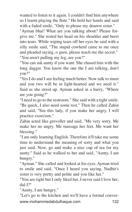wanted to listen to it again. I couldn't find him anywhere so I learnt playing the flute." He held her hands and said with a faded smile, "Only to please my dearest sister."

"Ayman bhai! What are you talking about? Please forgive me." She rested her head on his shoulder and burst into tears. While wiping tears off her eyes he said with a silly smile said, "The stupid cowherd came to me once and pleaded saying, o guru, please teach me the secret." "You aren't pulling my leg, are you?"

"You can ask aunty if you want. She chased him with the long dagger. You know the one the I am talking, don't you?"

"Yes I do and I am feeling much better. Now talk to mum and you two will be in light-hearted and we need it." Said as she stood up. Ayman asked in a hurry, "Where are you going?"

"I need to go to the restroom." She said with a tight smile. "Be quick, I also need some rest." Then he called Zahin and said, "See this lady, if you make her angry, I will practice exorcism."

Zahin acted like groveller and said, "Me very sorry. Me make her no angry. Me massage her feet. Me want her blessing."

"I am only learning English. Therefore it'll take me some time to understand the meaning of sorry and what you just said. Now, go and make a nice cup of tea for my aunty." Said as he walked to her and said, "Aunty, I am hungry."

"Ayman." She called and looked at his eyes. Ayman tried to smile and said, "Once I heard you saying, Nadhir's sister is very pretty and polite and you like her."

"You are right but I only liked her, I never said I love her, did I?"

"Aunty, I am hungry."

www.mohammedabdulhaque.com 132 "Let's go to the kitchen and we'll have a formal conver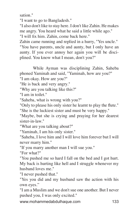sation."

"I want to go to Bangladesh."

"I also don't like to stay here. I don't like Zahin. He makes me angry. You heard what he said a little while ago."

"I will fix him. Zahin, come back here."

Zahin came running and replied in a hurry, "Yes uncle." "You have parents, uncle and aunty, but I only have an aunty. If you ever annoy her again you will be disciplined. You know what I mean, don't you?"

While Ayman was disciplining Zahin, Saheba phoned Yaminah and said, "Yaminah, how are you?"

"I am okay. How are you?"

"He is back and very angry."

"Why are you talking like this?"

"I am in toilet."

"Saheba, what is wrong with you?"

"Only to please his only sister he learnt to play the flute." "She is the luckiest sister and must be very happy."

"Maybe, but she is crying and praying for her dearest sister-in-law."

"What are you talking about?"

"Yaminah, I am his only sister."

"Saheba, I love him and I will love him forever but I will never marry him."

"If you marry another man I will sue you."

"For what?"

"You pushed me so hard I fall on the bed and I got hurt. My back is hurting like hell and I struggle whenever my husband loves me."

"I never pushed that."

"Yes you did and my husband saw the action with his own eyes."

"I am a Muslim and we don't sue one another. But I never pushed you, I was only excited."

www.mohammedabdulhaque.com 133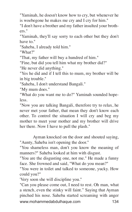"Yaminah, he doesn't know how to cry, but whenever he is woebegone he makes me cry and I cry for him."

"I don't have a brother and my father insulted your brothers."

"Yaminah, they'll say sorry to each other but they don't have to "

"Saheba, I already told him."

"What?"

"That, my father will buy a hundred of him."

"Fine, but did you tell him what my brother did?"

"He never did anything."

"Yes he did and if I tell this to mum, my brother will be in big trouble."

"Saheba, I don't understand Bangali."

"My mum does."

"What do you want me to do?" Yaminah sounded hopeless.

"Now you are talking Bangali, therefore try to relax, he never met your father, that mean they don't know each other. To control the situation I will cry and beg my mother to meet your mother and my brother will drive her there. Now I have to pull the plash."

Ayman knocked on the door and shouted saying, "Aunty, Saheba isn't opening the door."

"You shameless man, don't you know the meaning of manners?" Saheba looked at him with disgust.

"You are the disgusting one, not me." He made a funny face. She frowned and said, "What do you mean?"

"You were in toilet and talked to someone, yucky. How could you?"

'Very soon she will discipline you."

www.mohammedabdulhaque.com 134 "Can you please come out, I need to rest. Oh man, what a stench, even the stinky will faint." Saying that Ayman pinched his nose. Saheba started screaming with anger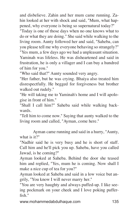and disbelieve. Zahin and her mum came running. Zahin looked at her with shock and said, "Mum, what happened, why everyone is being so supernatural today?"

"Today is one of those days when no one knows what to do or what they are doing." She said while walking to the living room. Aunty followed her and said, "Saheba, can you please tell me why everyone behaving so strangely?" "Yes mum, a few days ago we had a unpleasant situation. Yaminah was lifeless. He was disheartened and said in frustration, he is only a villager and I can buy a hundred of him for you."

"Who said that?" Aunty sounded very angry.

"Her father, but he was crying. Bhaiya also treated him disrespectfully. He begged for forgiveness but brother walked out rudely."

"He will taking me to Yaminah's home and I will apologise in front of him."

"Shall I call him?" Saheba said while walking backwards.

"Tell him to come now." Saying that aunty walked to the living room and called, "Ayman, come here."

Ayman came running and said in a hurry, "Aunty, what is it?"

"Nadhir said he is very busy and he is short of staff. Call him and he'll pick you up. Saheba, have you called Jawad, is he coming?"

Ayman looked at Saheba. Behind the door she teased him and replied, "Yes, mum he is coming. Now shall I make a nice cup of tea for you?"

Ayman looked at Saheba and said in a low voice but angrily, "You know I will never marry her."

"You are very haughty and always puffed-up. I like seeing pockmark on your cheek and I love poking pufferfish."

www.mohammedabdulhaque.com 135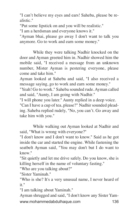"I can't believe my eyes and ears! Saheba, please be realistic."

"Put some lipstick on and you will be realistic."

"I am a herdsman and everyone knows it."

"Ayman bhai, please go away I don't want to talk you anymore. Go to work and earn some money."

While they were talking Nadhir knocked on the door and Ayman greeted him in. Nadhir showed him the mobile said, "I received a message from an unknown number, Mister Ayman is pestering everyone, please come and take him."

Ayman looked at Saheba and said, "I also received a message saying, go to work and earn some money."

"Yeah! Go to work." Saheba sounded rude. Ayman called and said, "Aunty, I am going with Nadhir."

"I will phone you later." Aunty replied in a deep voice.

"Can I have a cup of tea, please?" Nadhir sounded pleading. Saheba replied rudely, "No, you can't. Go away and take him with you."

While walking out Ayman looked at Nadhir and said, "What is wrong with everyone?"

"I don't know and I don't want to know." Said as he got inside the car and started the engine. While fastening the seatbelt Ayman said, "You may don't but I do want to know."

"Sit quietly and let me drive safely. Do you know, she is killing herself in the name of voluntary fasting."

"Who are you talking about?"

"Sister Yaminah."

"Who is she? It's a very unusual name, I never heard of it."

"I am talking about Yaminah."

www.mohammedabdulhaque.com 136 Ayman shrugged and said, "I don't know any Sister Yam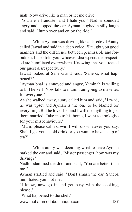inah. Now drive like a man or let me drive."

"You are a fraudster and I hate you." Nadhir sounded angry and stopped the car. Ayman laughed a silly laugh and said, "Jump over and enjoy the ride."

While Ayman was driving like a daredevil Aunty called Jawad and said in a deep voice, "I taught you good manners and the difference between permissible and forbidden. I also told you, whoever disrespects the respected are humiliated everywhere. Knowing that you treated our guest disrespectfully."

Jawad looked at Saheba and said, "Saheba, what happened?"

"Ayman bhai is annoyed and angry, Yaminah is willing to kill herself. Now talk to mum, I am going to make tea for everyone."

As she walked away, aunty called him and said, "Jawad, he was upset and Ayman is the one to be blamed for everything. But he loves her and I will do anything to get them married. Take me to his home, I want to apologise for your misbehaviours."

"Mum, please calm down. I will do whatever you say. Shall I get you a cold drink or you want to have a cup of tea?"

While aunty was deciding what to have Ayman parked the car and said, "Mister passenger, how was my driving?"

Nadhir slammed the door and said, "You are better than me."

Ayman startled and said, "Don't smash the car. Saheba humiliated you, not me."

"I know, now go in and get busy with the cooking, please."

"What happened to the chef?"

www.mohammedabdulhaque.com 137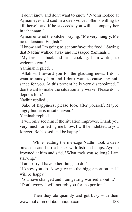"I don't know and don't want to know." Nadhir looked at Ayman eyes and said in a deep voice, "She is willing to kill herself and if he succeeds, you will accompany her in jahannam."

Ayman entered the kitchen saying, "Me very hungry. Me no understand English."

"I know and I'm going to get our favourite food." Saying that Nadhir walked away and messaged Yaminah…

"My friend is back and he is cooking. I am waiting to welcome you."

Yaminah replied…

"Allah will reward you for the gladding news. I don't want to annoy him and I don't want to cause any nuisance for you. At this present he is very disappointed. I don't want to make the situation any worse. Please don't depress him."

Nadhir replied…

"Sake of happiness, please look after yourself. Maybe angry but he is in safe haven."

Yaminah replied…

"I will only see him if the situation improves. Thank you very much for letting me know. I will be indebted to you forever. Be blessed and be happy."

While reading the message Nadhir took a deep breath in and hurried back with fish and chips. Ayman frowned at him and said, "What took you so long? I am starving."

"I am sorry, I have other things to do."

"I know you do. Now give me the bigger portion and I will be happy."

"You have changed and I am getting worried about it." "Don't worry, I will not rob you for the portion."

www.mohammedabdulhaque.com 138 Then they ate quaintly and got busy with their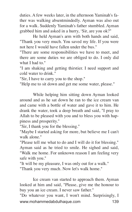duties. A few weeks later, in the afternoon Yaminah's father was walking absentmindedly. Ayman was also out for a walk. Suddenly Yaminah's father stumbled. Ayman grabbed him and asked in a hurry, 'Sir, are you ok?"

He held Ayman's arm with both hands and said, "Thank you very much. You saved my life. If you were not here I would have fallen under the bus."

"There are some responsibilities we have to meet, and there are some duties we are obliged to do. I only did what I had to."

"I am shaking and getting thirstier. I need support and cold water to drink."

"Sir, I have to carry you to the shop."

"Help me to sit down and get me some water, please."

While helping him sitting down Ayman looked around and as he sat down he ran to the ice cream van and came with a bottle of water and gave it to him. He drank the water, took a deep breath and said, "I pray to Allah to be pleased with you and to bless you with happiness and prosperity."

"Sir, I thank you for the blessing."

"Maybe I started asking for more, but believe me I can't walk alone."

"Please tell me what to do and I will do it for blessing." Ayman said as he tried to smile. He sighed and said, "Walk me home. For unknown reason I am feeling very safe with you."

"It will be my pleasure, I was only out for a walk."

"Thank you very much. Now let's walk home."

Ice cream van started to approach them. Ayman looked at him and said, "Please, give me the honour to buy you an ice cream. I never saw father."

www.mohammedabdulhaque.com 139 "Do whatever you want, I won't mind. Surprisingly, I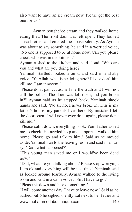also want to have an ice cream now. Please get the best one for us."

Ayman bought ice cream and they walked home eating that. The front door was left open. They looked at each other and entered the house silently. As Ayman was about to say something, he said in a worried voice, "No one is supposed to be at home now. Can you please check who was in the kitchen?"

Ayman rushed to the kitchen and said aloud, 'Who are you and what are you doing here?'

Yaminah startled, looked around and said in a shaky voice, "Ya Allah, what is he doing here? Please don't him kill me. I am innocent."

"Please don't panic. Just tell me the truth and I will not call the police. The door was left open, did you brake in?" Ayman said as he stepped back. Yaminah shook hands and said, "No sir no. I never broke in. This is my father's house, my parents lives here. By mistake I left the door open. I will never ever do it again, please don't kill me."

"Please calm down, everything is ok. Your father asked me to check. He needed help and support. I walked him home. Please go and talk to him." Said as he moved aside. Yaminah ran to the leaving room and said in a hurry, "Dad, what happened?"

"This young man saved me or I would've been dead now."

"Dad, what are you talking about? Please stop worrying, I am ok and everything will be just fine." Yaminah said as looked around fearfully. Ayman walked to the living room and said in a calm voice, "Sir, I have to go."

"Please sit down and have something."

www.mohammedabdulhaque.com 140 "I will come another day. I have to leave now." Said as he rushed out. She sighed silently, sat next to her father and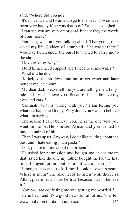said, "Where did you go?"

"It's a nice day and I wanted to go to the beach. I would've been very happy if he was that boy." Said as he sighed.

"I can see you are very emotional, but are they the words of your heart?"

'Yaminah, what are you talking about. That young man saved my life. Suddenly I stumbled, if he wasn't there I would've fallen under the bus. He wanted to carry me to the shop."

"I love to know why?"

"I told him, I need support and I need to drink water." "What did he do?"

'He helped me sit down and ran to get water and later bought me ice cream."

"My dear dad, please tell me you are telling me a fairytale and I will believe you. Because, I can't believe my eyes and ears."

"Yaminah, what is wrong with you? I am telling you what has happened today. Why don't you want to believe what I'm saying?"

"The reason I can't believe you, he is the one who you want him to be. He is mister Ayman and you wanted to buy a hundred of him."

"Then I was upset. Anyway, I don't like talking about the past and I hate eating plain pasta."

"Dad, please tell me about the present."

"He asked for permission and bought me an ice cream that tasted like the one my father bought me for the first time. I prayed for him but he said it was a blessing."

"I thought he came to kill me. I couldn't even scream. Where is mum? She also needs to listen to all these. Ya Allah, please let all this be true because I can't believe it."

"Now you are confusing me and getting me worried."

www.mohammedabdulhaque.com 141 "He is back and it's a good news for all of us. Now tell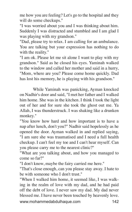me how you are feeling? Let's go to the hospital and they will do some checkups."

"I was worried about you and I was thinking about him. Suddenly I was distracted and stumbled and I am glad I was playing with my grandson."

"Dad, please try to relax. I am calling for an ambulance. You are talking but your expression has nothing to do with the reality."

"I am ok. Please let me sit alone I want to play with my grandson." Said as he closed his eyes. Yaminah walked to the window and called her mother and said in a hurry, "Mom, where are you? Please come home quickly. Dad has lost his memory, he is playing with his grandson."

While Yaminah was panicking, Ayman knocked on Nadhir's door and said, "I met her father and I walked him home. She was in the kitchen. I think I took the light out of her and for sure she took the ghost out me. Ya Allah, I was thunderstruck. I was shaking like a drunken monkey."

"You know how hard and how important is to have a nap after lunch, don't you?" Nadhir said hopelessly as he opened the door. Ayman walked in and replied saying, "I am sure she was traumatised and I need a full health checkup. I can't feel my toe and I can't hear myself. Can you please carry me to the nearest clinic?"

"What are you talking about, and how you managed to come so far?"

"I don't know, maybe the fairy carried me here."

"That's close enough, can you please stay away. I hate to be with someone who I don't trust."

www.mohammedabdulhaque.com 142 "When I walked him home, it seemed like, I was walking in the realm of love with my dad, and he had paid off the debt of love. I never saw my dad. My dad never blessed me. I have never been touched by heavenly love.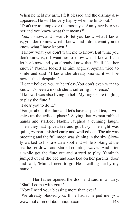When he held my arm, I felt blessed and the dismay disappeared. He will be very happy when he finds out."

"Don't try to jump over the moon yet. Aunty needs to see her and you know what that means?"

"Yes, I know, and I want to let you know what I know is, you don't know what I know, and I don't want you to know what I have known."

"I know what you don't want me to know. But what you don't know is, if I want her to know what I know, I can let her know and you already know that. Shall I let her know?" Nadhir looked at him angrily. Ayman tried to smile and said, "I know she already knows, it will be now if the k despairs."

"I can't believe you're heartless.You don't even want to know, it's been a month she is suffering in silence."

"I know, I was also living in hell. My fingers are tingling to play the flute."

"I dear you to do it."

"Forget about the flute and let's have a spiced tea, it will spice up the tedious phase." Saying that Ayman rubbed hands and startled. Nadhir laughed a cunning laugh. Then they had spiced tea and got busy. The night was quite, Ayman finished early and walked out. The air was breezing and the full moon was shining in the sky. Slowly walked to his favourite spot and while looking at the sea he set down and started counting waves. And after a while got the flute out and started to play. Yaminah jumped out of the bed and knocked on her parents' door and said, "Mum, I need to go. He is calling me by my name."

Her father opened the door and said in a hurry, "Shall I come with you?"

"Now I need your blessing more than ever."

www.mohammedabdulhaque.com 143 "We already blessed you. If he hadn't helped me, you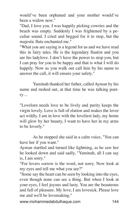would've been orphaned and your mother would've been a widow now."

"Dad, I love you. I was happily picking cowries and the beach was empty. Suddenly I was frightened by a peculiar sound. I cried and begged for it to stop, but the majestic flute enchanted me."

"What you are saying is a legend for us and we have read this in fairy tales. He is the legendary flautist and you are his ladylove. I don't have the power to stop you, but I can pray for you to be happy and that is what I will do happily. Now as you walk out call him by his name to answer the call, it will ensure your safety."

Yaminah thanked her father, called Ayman by his name and rushed out, at that time he was talking poetry…

"Lovelorn needs love to be lively and purity keeps the virgin lovely. Love is full of elation and makes the lover act wildly. I am in love with the loveliest lady, my home will glow by her beauty, I want to have her in my arms to be loverly."

As he stopped she said in a calm voice, "You can have her if you want."

Ayman startled and turned like lightning, as he saw her he looked down and said sadly, "Yaminah, all I can say is, I am sorry."

"For lovers sorrow is the word, not sorry. Now look at my eyes and tell me what you see?"

"Some say the heart can be seen by looking into the eyes, even though none can see a thing. But when I look at your eyes, I feel joyous and lusty. You are the beauteous and full of pleasure. My love, I am lovesick. Please love me and we'll be lovemaking."

www.mohammedabdulhaque.com 144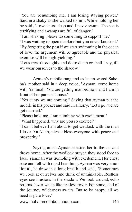"You are benumbing me. I am losing staying power." Said in a shaky as she walked to him. While holding her he said, "Love is too deep and I never swam. The sea is terrifying and swamps are full of danger."

"I am shaking, please do something to support me."

"I was waiting to open the door but you never knocked." "By forgetting the past if we start swimming in the ocean of love, the argument will be agreeable and the physical exercise will be high-yielding."

"Let's treat thoroughly and do to death or shall I say, till we wear ourselves to the shadow."

Ayman's mobile rang and as he answered Saheba's mother said in a deep voice, "Ayman, come home with Yaminah. You are getting married now and I am in front of her parents' house."

"Yes aunty we are coming." Saying that Ayman put the mobile in his pocket and said in a hurry, "Let's go, we are get married."

"Please hold me, I am numbing with excitement."

"What happened, why are you so excited?"

"I can't believe I am about to get wedlock with the man I love. Ya Allah, please bless everyone with peace and prosperity."

Saying amen Ayman assisted her to the car and drove home. After the wedlock prayer, they stood face to face. Yaminah was trembling with excitement. Her chest rose and fell with rapid breathing. Ayman was very emotional, he drew in a long breath and said, "Sometimes we look at ourselves and think of unthinkable. Restless eyes see illusions in the shadow. We look around, echo returns, lover walks like restless rover. For some, end of the journey wilderness awaits. But to be happy, all we need is pure love."

www.mohammedabdulhaque.com 145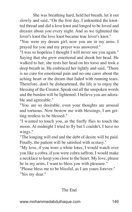She was breathing hard, held her breath, let it out slowly and said, "On the first day, I unknotted the knotted thread and did a love knot and longed to be loved and dreamt about you every night. And as we tightened the lover's knot the love knot became true lover's knot."

"You were my dream girl, now you are in my arms. I prayed for you and my prayer was answered."

"I was so hopeless I thought I will never see you again." Saying that she grew emotional and shook her head. He walked to her, she rests her head on his torso and took a deep breath in. He embraced her lightly and said, "There is no cure for emotional pain and no one cares about the aching heart or the dream that faded with running tears. Therefore, don't be disheartened, the life is to enjoy the blessing of the Creator. Speak out all the unspoken words and the burden will be lightened. I believe you are adorable and agreeable."

"You are so desirable, even your thoughts are arousal and tortuous. Now bestow me with blessings, I am getting restless to be blessed."

"I wanted to touch you, as the firefly flies to touch the moon. At midnight I tried to fly but I couldn't, I have no wings."

"The longing will end and the debt of desire will be paid. Finally, the patient will be satisfied with ecstasy."

"My love, if you were a white lotus, I would watch over you like a cobra, if you were cobra saffron, I would make a necklace to keep you close to the heart. My love, please be in my arms, I want to bless you with pleasure."

"Please bless me to be blissful, as I am yours forever." "Yes my dear."

The End